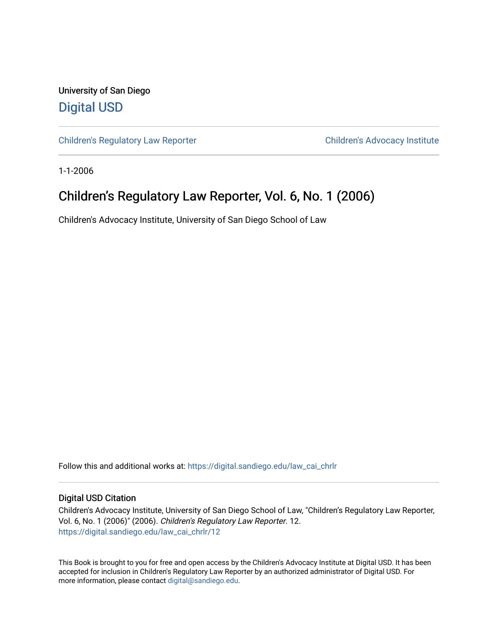University of San Diego [Digital USD](https://digital.sandiego.edu/)

[Children's Regulatory Law Reporter](https://digital.sandiego.edu/law_cai_chrlr) Children's Advocacy Institute

1-1-2006

## Children's Regulatory Law Reporter, Vol. 6, No. 1 (2006)

Children's Advocacy Institute, University of San Diego School of Law

Follow this and additional works at: [https://digital.sandiego.edu/law\\_cai\\_chrlr](https://digital.sandiego.edu/law_cai_chrlr?utm_source=digital.sandiego.edu%2Flaw_cai_chrlr%2F12&utm_medium=PDF&utm_campaign=PDFCoverPages) 

### Digital USD Citation

Children's Advocacy Institute, University of San Diego School of Law, "Children's Regulatory Law Reporter, Vol. 6, No. 1 (2006)" (2006). Children's Regulatory Law Reporter. 12. [https://digital.sandiego.edu/law\\_cai\\_chrlr/12](https://digital.sandiego.edu/law_cai_chrlr/12?utm_source=digital.sandiego.edu%2Flaw_cai_chrlr%2F12&utm_medium=PDF&utm_campaign=PDFCoverPages) 

This Book is brought to you for free and open access by the Children's Advocacy Institute at Digital USD. It has been accepted for inclusion in Children's Regulatory Law Reporter by an authorized administrator of Digital USD. For more information, please contact [digital@sandiego.edu.](mailto:digital@sandiego.edu)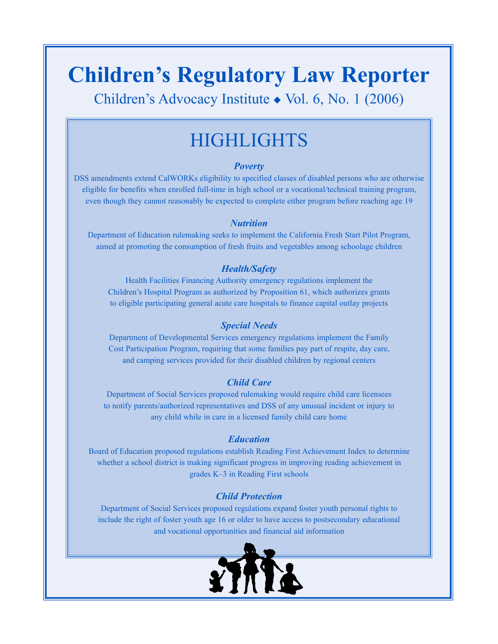# **Children's Regulatory Law Reporter**

Children's Advocacy Institute ◆ Vol. 6, No. 1 (2006)

# **HIGHLIGHTS**

## *Poverty*

DSS amendments extend CalWORKs eligibility to specified classes of disabled persons who are otherwise eligible for benefits when enrolled full-time in high school or a vocational/technical training program, even though they cannot reasonably be expected to complete either program before reaching age 19

## *Nutrition*

Department of Education rulemaking seeks to implement the California Fresh Start Pilot Program, aimed at promoting the consumption of fresh fruits and vegetables among schoolage children

## *Health/Safety*

Health Facilities Financing Authority emergency regulations implement the Children's Hospital Program as authorized by Proposition 61, which authorizes grants to eligible participating general acute care hospitals to finance capital outlay projects

## *Special Needs*

Department of Developmental Services emergency regulations implement the Family Cost Participation Program, requiring that some families pay part of respite, day care, and camping services provided for their disabled children by regional centers

## *Child Care*

Department of Social Services proposed rulemaking would require child care licensees to notify parents/authorized representatives and DSS of any unusual incident or injury to any child while in care in a licensed family child care home

### *Education*

Board of Education proposed regulations establish Reading First Achievement Index to determine whether a school district is making significant progress in improving reading achievement in grades K–3 in Reading First schools

## *Child Protection*

Department of Social Services proposed regulations expand foster youth personal rights to include the right of foster youth age 16 or older to have access to postsecondary educational and vocational opportunities and financial aid information

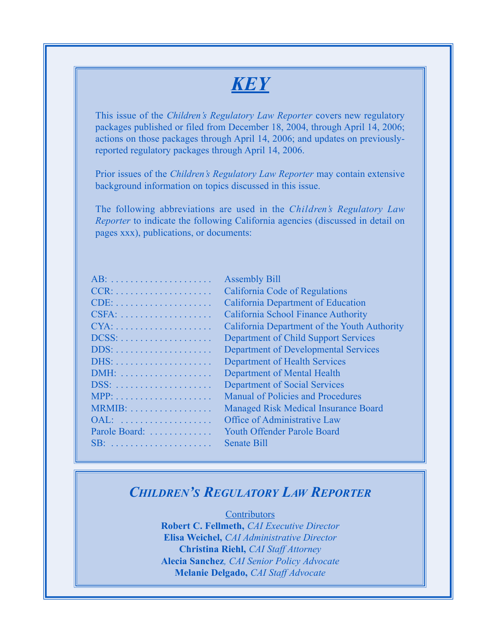# *KEY*

This issue of the *Children's Regulatory Law Reporter* covers new regulatory packages published or filed from December 18, 2004, through April 14, 2006; actions on those packages through April 14, 2006; and updates on previouslyreported regulatory packages through April 14, 2006.

Prior issues of the *Children's Regulatory Law Reporter* may contain extensive background information on topics discussed in this issue.

The following abbreviations are used in the *Children's Regulatory Law Reporter* to indicate the following California agencies (discussed in detail on pages xxx), publications, or documents:

| $AB^T$                                            |
|---------------------------------------------------|
|                                                   |
| $CDF^{\cdot}$<br>.                                |
| $CSFA: \ldots \ldots \ldots \ldots \ldots \ldots$ |
|                                                   |
|                                                   |
|                                                   |
| $DHS^1$                                           |
|                                                   |
| DSS:                                              |
|                                                   |
| MRMIB:                                            |
|                                                   |
| Parole Board:                                     |
| SB·                                               |
|                                                   |

Assembly Bill California Code of Regulations California Department of Education California School Finance Authority California Department of the Youth Authority Department of Child Support Services Department of Developmental Services Department of Health Services Department of Mental Health Department of Social Services Manual of Policies and Procedures Managed Risk Medical Insurance Board Office of Administrative Law Youth Offender Parole Board Senate Bill

## *CHILDREN'S REGULATORY LAW REPORTER*

**Contributors Robert C. Fellmeth,** *CAI Executive Director* **Elisa Weichel,** *CAI Administrative Director* **Christina Riehl,** *CAI Staff Attorney* **Alecia Sanchez***, CAI Senior Policy Advocate* **Melanie Delgado,** *CAI Staff Advocate*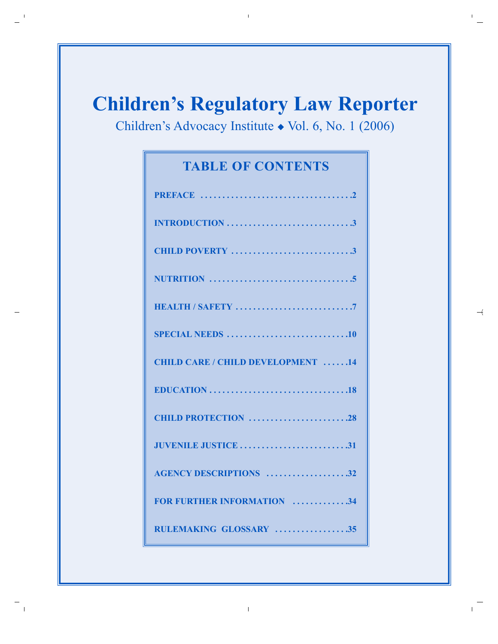# **Children's Regulatory Law Reporter**

Children's Advocacy Institute ◆ Vol. 6, No. 1 (2006)

## **TABLE OF CONTENTS**

| SPECIAL NEEDS 10                         |
|------------------------------------------|
| <b>CHILD CARE / CHILD DEVELOPMENT 14</b> |
|                                          |
| CHILD PROTECTION 28                      |
| <b>JUVENILE JUSTICE 31</b>               |
| <b>AGENCY DESCRIPTIONS</b> 32            |
| <b>FOR FURTHER INFORMATION 34</b>        |
| RULEMAKING GLOSSARY 35                   |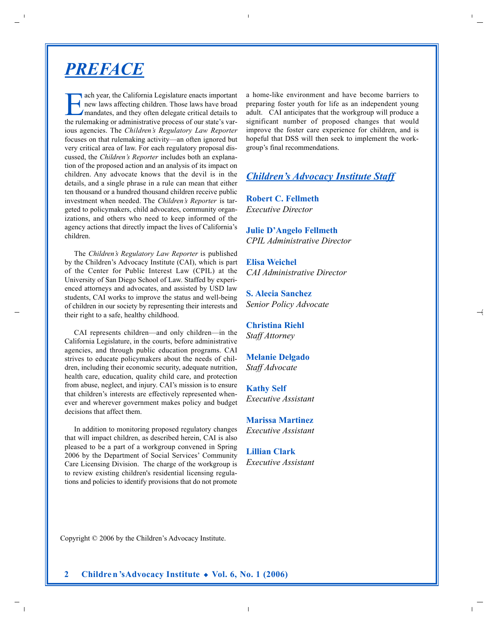## *PREFACE*

Each year, the California Legislature enacts important<br>mandates, and they often delegate critical details to<br>the rulemelying or edministrative process four state's use new laws affecting children. Those laws have broad the rulemaking or administrative process of our state's various agencies. The *Children's Regulatory Law Reporter* focuses on that rulemaking activity—an often ignored but very critical area of law. For each regulatory proposal discussed, the *Children's Reporter* includes both an explanation of the proposed action and an analysis of its impact on children. Any advocate knows that the devil is in the details, and a single phrase in a rule can mean that either ten thousand or a hundred thousand children receive public investment when needed. The *Children's Reporter* is targeted to policymakers, child advocates, community organizations, and others who need to keep informed of the agency actions that directly impact the lives of California's children.

The *Children's Regulatory Law Reporter* is published by the Children's Advocacy Institute (CAI), which is part of the Center for Public Interest Law (CPIL) at the University of San Diego School of Law. Staffed by experienced attorneys and advocates, and assisted by USD law students, CAI works to improve the status and well-being of children in our society by representing their interests and their right to a safe, healthy childhood.

CAI represents children—and only children—in the California Legislature, in the courts, before administrative agencies, and through public education programs. CAI strives to educate policymakers about the needs of children, including their economic security, adequate nutrition, health care, education, quality child care, and protection from abuse, neglect, and injury. CAI's mission is to ensure that children's interests are effectively represented whenever and wherever government makes policy and budget decisions that affect them.

In addition to monitoring proposed regulatory changes that will impact children, as described herein, CAI is also pleased to be a part of a workgroup convened in Spring 2006 by the Department of Social Services' Community Care Licensing Division. The charge of the workgroup is to review existing children's residential licensing regulations and policies to identify provisions that do not promote

a home-like environment and have become barriers to preparing foster youth for life as an independent young adult. CAI anticipates that the workgroup will produce a significant number of proposed changes that would improve the foster care experience for children, and is hopeful that DSS will then seek to implement the workgroup's final recommendations.

## *Children's Advocacy Institute Staff*

**Robert C. Fellmeth**  *Executive Director*

**Julie D'Angelo Fellmeth** *CPIL Administrative Director*

**Elisa Weichel** *CAI Administrative Director*

**S. Alecia Sanchez** *Senior Policy Advocate* 

**Christina Riehl** *Staff Attorney*

**Melanie Delgado**  *Staff Advocate*

**Kathy Self** *Executive Assistant*

**Marissa Martinez** *Executive Assistant*

**Lillian Clark** *Executive Assistant*

Copyright © 2006 by the Children's Advocacy Institute.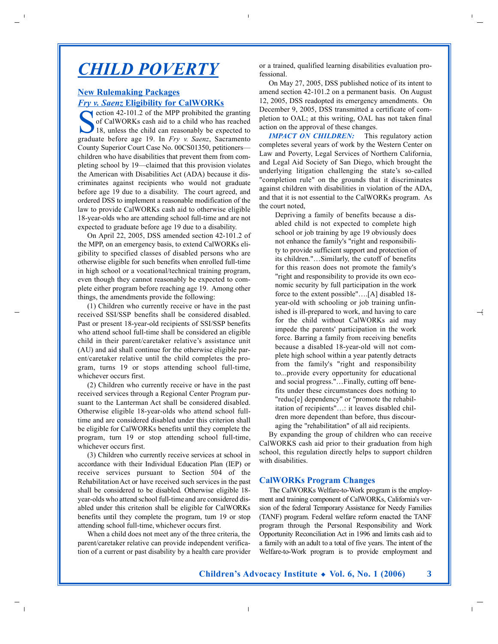## *CHILD POVERTY*

## **New Rulemaking Packages** *Fry v. Saenz* **Eligibility for CalWORKs**

 $\blacktriangle$  ection 42-101.2 of the MPP prohibited the granting of CalWORKs cash aid to a child who has reached 18, unless the child can reasonably be expected to graduate before age 19. In *Fry v. Saenz*, Sacramento County Superior Court Case No. 00CS01350, petitioners children who have disabilities that prevent them from completing school by 19—claimed that this provision violates the American with Disabilities Act (ADA) because it discriminates against recipients who would not graduate before age 19 due to a disability. The court agreed, and ordered DSS to implement a reasonable modification of the law to provide CalWORKs cash aid to otherwise eligible 18-year-olds who are attending school full-time and are not expected to graduate before age 19 due to a disability.

On April 22, 2005, DSS amended section 42-101.2 of the MPP, on an emergency basis, to extend CalWORKs eligibility to specified classes of disabled persons who are otherwise eligible for such benefits when enrolled full-time in high school or a vocational/technical training program, even though they cannot reasonably be expected to complete either program before reaching age 19. Among other things, the amendments provide the following:

(1) Children who currently receive or have in the past received SSI/SSP benefits shall be considered disabled. Past or present 18-year-old recipients of SSI/SSP benefits who attend school full-time shall be considered an eligible child in their parent/caretaker relative's assistance unit (AU) and aid shall continue for the otherwise eligible parent/caretaker relative until the child completes the program, turns 19 or stops attending school full-time, whichever occurs first.

(2) Children who currently receive or have in the past received services through a Regional Center Program pursuant to the Lanterman Act shall be considered disabled. Otherwise eligible 18-year-olds who attend school fulltime and are considered disabled under this criterion shall be eligible for CalWORKs benefits until they complete the program, turn 19 or stop attending school full-time, whichever occurs first.

(3) Children who currently receive services at school in accordance with their Individual Education Plan (IEP) or receive services pursuant to Section 504 of the Rehabilitation Act or have received such services in the past shall be considered to be disabled. Otherwise eligible 18 year-olds who attend school full-time and are considered disabled under this criterion shall be eligible for CalWORKs benefits until they complete the program, turn 19 or stop attending school full-time, whichever occurs first.

When a child does not meet any of the three criteria, the parent/caretaker relative can provide independent verification of a current or past disability by a health care provider or a trained, qualified learning disabilities evaluation professional.

On May 27, 2005, DSS published notice of its intent to amend section 42-101.2 on a permanent basis. On August 12, 2005, DSS readopted its emergency amendments. On December 9, 2005, DSS transmitted a certificate of completion to OAL; at this writing, OAL has not taken final action on the approval of these changes.

*IMPACT ON CHILDREN:* This regulatory action completes several years of work by the Western Center on Law and Poverty, Legal Services of Northern California, and Legal Aid Society of San Diego, which brought the underlying litigation challenging the state's so-called "completion rule" on the grounds that it discriminates against children with disabilities in violation of the ADA, and that it is not essential to the CalWORKs program. As the court noted,

Depriving a family of benefits because a disabled child is not expected to complete high school or job training by age 19 obviously does not enhance the family's "right and responsibility to provide sufficient support and protection of its children."…Similarly, the cutoff of benefits for this reason does not promote the family's "right and responsibility to provide its own economic security by full participation in the work force to the extent possible"….[A] disabled 18 year-old with schooling or job training unfinished is ill-prepared to work, and having to care for the child without CalWORKs aid may impede the parents' participation in the work force. Barring a family from receiving benefits because a disabled 18-year-old will not complete high school within a year patently detracts from the family's "right and responsibility to...provide every opportunity for educational and social progress."…Finally, cutting off benefits under these circumstances does nothing to "reduc[e] dependency" or "promote the rehabilitation of recipients"…: it leaves disabled children more dependent than before, thus discouraging the "rehabilitation" of all aid recipients.

By expanding the group of children who can receive CalWORKS cash aid prior to their graduation from high school, this regulation directly helps to support children with disabilities.

#### **CalWORKs Program Changes**

The CalWORKs Welfare-to-Work program is the employment and training component of CalWORKs, California's version of the federal Temporary Assistance for Needy Families (TANF) program. Federal welfare reform enacted the TANF program through the Personal Responsibility and Work Opportunity Reconciliation Act in 1996 and limits cash aid to a family with an adult to a total of five years. The intent of the Welfare-to-Work program is to provide employment and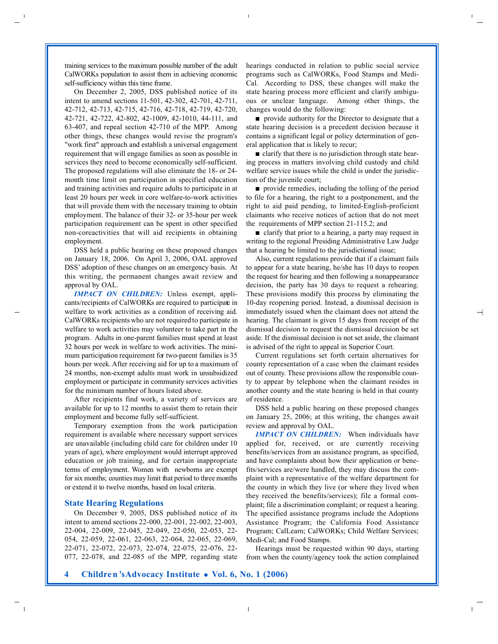training services to the maximum possible number of the adult CalWORKs population to assist them in achieving economic self-sufficiency within this time frame.

On December 2, 2005, DSS published notice of its intent to amend sections 11-501, 42-302, 42-701, 42-711, 42-712, 42-713, 42-715, 42-716, 42-718, 42-719, 42-720, 42-721, 42-722, 42-802, 42-1009, 42-1010, 44-111, and 63-407, and repeal section 42-710 of the MPP. Among other things, these changes would revise the program's "work first" approach and establish a universal engagement requirement that will engage families as soon as possible in services they need to become economically self-sufficient. The proposed regulations will also eliminate the 18- or 24 month time limit on participation in specified education and training activities and require adults to participate in at least 20 hours per week in core welfare-to-work activities that will provide them with the necessary training to obtain employment. The balance of their 32- or 35-hour per week participation requirement can be spent in other specified non-coreactivities that will aid recipients in obtaining employment.

DSS held a public hearing on these proposed changes on January 18, 2006. On April 3, 2006, OAL approved DSS' adoption of these changes on an emergency basis. At this writing, the permanent changes await review and approval by OAL.

*IMPACT ON CHILDREN:* Unless exempt, applicants/recipients of CalWORKs are required to participate in welfare to work activities as a condition of receiving aid. CalWORKs recipients who are not required to participate in welfare to work activities may volunteer to take part in the program. Adults in one-parent families must spend at least 32 hours per week in welfare to work activities. The minimum participation requirement for two-parent families is 35 hours per week.After receiving aid for up to a maximum of 24 months, non-exempt adults must work in unsubsidized employment or participate in community services activities for the minimum number of hours listed above.

After recipients find work, a variety of services are available for up to 12 months to assist them to retain their employment and become fully self-sufficient.

Temporary exemption from the work participation requirement is available where necessary support services are unavailable (including child care for children under 10 years of age), where employment would interrupt approved education or job training, and for certain inappropriate terms of employment. Women with newborns are exempt for six months; counties may limit that period to three months or extend it to twelve months, based on local criteria.

#### **State Hearing Regulations**

On December 9, 2005, DSS published notice of its intent to amend sections 22-000, 22-001, 22-002, 22-003, 22-004, 22-009, 22-045, 22-049, 22-050, 22-053, 22- 054, 22-059, 22-061, 22-063, 22-064, 22-065, 22-069, 22-071, 22-072, 22-073, 22-074, 22-075, 22-076, 22- 077, 22-078, and 22-085 of the MPP, regarding state hearings conducted in relation to public social service programs such as CalWORKs, Food Stamps and Medi-Cal. According to DSS, these changes will make the state hearing process more efficient and clarify ambiguous or unclear language. Among other things, the changes would do the following:

■ provide authority for the Director to designate that a state hearing decision is a precedent decision because it contains a significant legal or policy determination of general application that is likely to recur;

■ clarify that there is no jurisdiction through state hearing process in matters involving child custody and child welfare service issues while the child is under the jurisdiction of the juvenile court;

■ provide remedies, including the tolling of the period to file for a hearing, the right to a postponement, and the right to aid paid pending, to limited-English-proficient claimants who receive notices of action that do not meet the requirements of MPP section 21-115.2; and

■ clarify that prior to a hearing, a party may request in writing to the regional Presiding Administrative Law Judge that a hearing be limited to the jurisdictional issue;

Also, current regulations provide that if a claimant fails to appear for a state hearing, he/she has 10 days to reopen the request for hearing and then following a nonappearance decision, the party has 30 days to request a rehearing. These provisions modify this process by eliminating the 10-day reopening period. Instead, a dismissal decision is immediately issued when the claimant does not attend the hearing. The claimant is given 15 days from receipt of the dismissal decision to request the dismissal decision be set aside. If the dismissal decision is not set aside, the claimant is advised of the right to appeal in Superior Court.

Current regulations set forth certain alternatives for county representation of a case when the claimant resides out of county. These provisions allow the responsible county to appear by telephone when the claimant resides in another county and the state hearing is held in that county of residence.

DSS held a public hearing on these proposed changes on January 25, 2006; at this writing, the changes await review and approval by OAL.

*IMPACT ON CHILDREN:* When individuals have applied for, received, or are currently receiving benefits/services from an assistance program, as specified, and have complaints about how their application or benefits/services are/were handled, they may discuss the complaint with a representative of the welfare department for the county in which they live (or where they lived when they received the benefits/services); file a formal complaint; file a discrimination complaint; or request a hearing. The specified assistance programs include the Adoptions Assistance Program; the California Food Assistance Program; CalLearn; CalWORKs; Child Welfare Services; Medi-Cal; and Food Stamps.

Hearings must be requested within 90 days, starting from when the county/agency took the action complained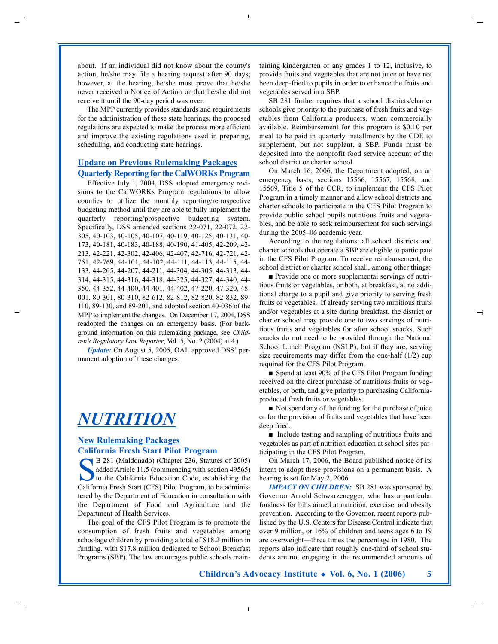about. If an individual did not know about the county's action, he/she may file a hearing request after 90 days; however, at the hearing, he/she must prove that he/she never received a Notice of Action or that he/she did not receive it until the 90-day period was over.

The MPP currently provides standards and requirements for the administration of these state hearings; the proposed regulations are expected to make the process more efficient and improve the existing regulations used in preparing, scheduling, and conducting state hearings.

### **Update on Previous Rulemaking Packages Quarterly Reporting for the CalWORKs Program**

Effective July 1, 2004, DSS adopted emergency revisions to the CalWORKs Program regulations to allow counties to utilize the monthly reporting/retrospective budgeting method until they are able to fully implement the quarterly reporting/prospective budgeting system. Specifically, DSS amended sections 22-071, 22-072, 22- 305, 40-103, 40-105, 40-107, 40-119, 40-125, 40-131, 40- 173, 40-181, 40-183, 40-188, 40-190, 41-405, 42-209, 42- 213, 42-221, 42-302, 42-406, 42-407, 42-716, 42-721, 42- 751, 42-769, 44-101, 44-102, 44-111, 44-113, 44-115, 44- 133, 44-205, 44-207, 44-211, 44-304, 44-305, 44-313, 44- 314, 44-315, 44-316, 44-318, 44-325, 44-327, 44-340, 44- 350, 44-352, 44-400, 44-401, 44-402, 47-220, 47-320, 48- 001, 80-301, 80-310, 82-612, 82-812, 82-820, 82-832, 89- 110, 89-130, and 89-201, and adopted section 40-036 of the MPP to implement the changes. On December 17, 2004, DSS readopted the changes on an emergency basis. (For background information on this rulemaking package, see *Children's Regulatory Law Reporter*, Vol. 5, No. 2 (2004) at 4.)

*Update:* On August 5, 2005, OAL approved DSS' permanent adoption of these changes.

# *NUTRITION*

### **New Rulemaking Packages California Fresh Start Pilot Program**

B 281 (Maldonado) (Chapter 236, Statutes of 2005) added Article 11.5 (commencing with section 49565) to the California Education Code, establishing the California Fresh Start (CFS) Pilot Program, to be administered by the Department of Education in consultation with the Department of Food and Agriculture and the Department of Health Services.

The goal of the CFS Pilot Program is to promote the consumption of fresh fruits and vegetables among schoolage children by providing a total of \$18.2 million in funding, with \$17.8 million dedicated to School Breakfast Programs (SBP). The law encourages public schools maintaining kindergarten or any grades 1 to 12, inclusive, to provide fruits and vegetables that are not juice or have not been deep-fried to pupils in order to enhance the fruits and vegetables served in a SBP.

SB 281 further requires that a school districts/charter schools give priority to the purchase of fresh fruits and vegetables from California producers, when commercially available. Reimbursement for this program is \$0.10 per meal to be paid in quarterly installments by the CDE to supplement, but not supplant, a SBP. Funds must be deposited into the nonprofit food service account of the school district or charter school.

On March 16, 2006, the Department adopted, on an emergency basis, sections 15566, 15567, 15568, and 15569, Title 5 of the CCR, to implement the CFS Pilot Program in a timely manner and allow school districts and charter schools to participate in the CFS Pilot Program to provide public school pupils nutritious fruits and vegetables, and be able to seek reimbursement for such servings during the 2005–06 academic year.

According to the regulations, all school districts and charter schools that operate a SBP are eligible to participate in the CFS Pilot Program. To receive reimbursement, the school district or charter school shall, among other things:

■ Provide one or more supplemental servings of nutritious fruits or vegetables, or both, at breakfast, at no additional charge to a pupil and give priority to serving fresh fruits or vegetables. If already serving two nutritious fruits and/or vegetables at a site during breakfast, the district or charter school may provide one to two servings of nutritious fruits and vegetables for after school snacks. Such snacks do not need to be provided through the National School Lunch Program (NSLP), but if they are, serving size requirements may differ from the one-half  $(1/2)$  cup required for the CFS Pilot Program.

■ Spend at least 90% of the CFS Pilot Program funding received on the direct purchase of nutritious fruits or vegetables, or both, and give priority to purchasing Californiaproduced fresh fruits or vegetables.

■ Not spend any of the funding for the purchase of juice or for the provision of fruits and vegetables that have been deep fried.

■ Include tasting and sampling of nutritious fruits and vegetables as part of nutrition education at school sites participating in the CFS Pilot Program.

On March 17, 2006, the Board published notice of its intent to adopt these provisions on a permanent basis. A hearing is set for May 2, 2006.

*IMPACT ON CHILDREN:* SB 281 was sponsored by Governor Arnold Schwarzenegger, who has a particular fondness for bills aimed at nutrition, exercise, and obesity prevention. According to the Governor, recent reports published by the U.S. Centers for Disease Control indicate that over 9 million, or 16% of children and teens ages 6 to 19 are overweight—three times the percentage in 1980. The reports also indicate that roughly one-third of school students are not engaging in the recommended amounts of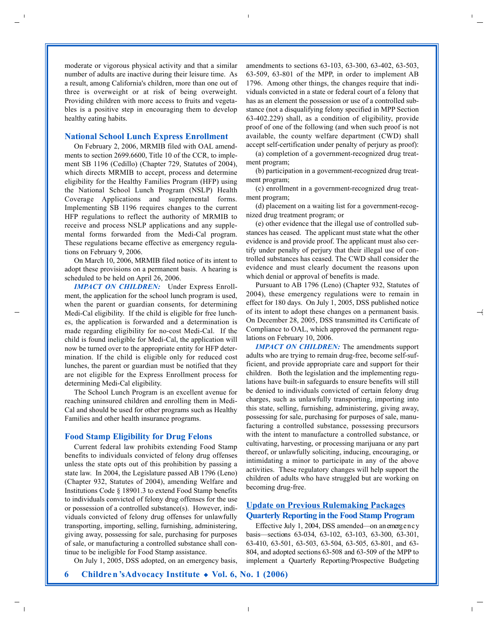moderate or vigorous physical activity and that a similar number of adults are inactive during their leisure time. As a result, among California's children, more than one out of three is overweight or at risk of being overweight. Providing children with more access to fruits and vegetables is a positive step in encouraging them to develop healthy eating habits.

#### **National School Lunch Express Enrollment**

On February 2, 2006, MRMIB filed with OAL amendments to section 2699.6600, Title 10 of the CCR, to implement SB 1196 (Cedillo) (Chapter 729, Statutes of 2004), which directs MRMIB to accept, process and determine eligibility for the Healthy Families Program (HFP) using the National School Lunch Program (NSLP) Health Coverage Applications and supplemental forms. Implementing SB 1196 requires changes to the current HFP regulations to reflect the authority of MRMIB to receive and process NSLP applications and any supplemental forms forwarded from the Medi-Cal program. These regulations became effective as emergency regulations on February 9, 2006.

On March 10, 2006, MRMIB filed notice of its intent to adopt these provisions on a permanent basis. A hearing is scheduled to be held on April 26, 2006.

*IMPACT ON CHILDREN:* Under Express Enrollment, the application for the school lunch program is used, when the parent or guardian consents, for determining Medi-Cal eligibility. If the child is eligible for free lunches, the application is forwarded and a determination is made regarding eligibility for no-cost Medi-Cal. If the child is found ineligible for Medi-Cal, the application will now be turned over to the appropriate entity for HFP determination. If the child is eligible only for reduced cost lunches, the parent or guardian must be notified that they are not eligible for the Express Enrollment process for determining Medi-Cal eligibility.

The School Lunch Program is an excellent avenue for reaching uninsured children and enrolling them in Medi-Cal and should be used for other programs such as Healthy Families and other health insurance programs.

#### **Food Stamp Eligibility for Drug Felons**

Current federal law prohibits extending Food Stamp benefits to individuals convicted of felony drug offenses unless the state opts out of this prohibition by passing a state law. In 2004, the Legislature passed AB 1796 (Leno) (Chapter 932, Statutes of 2004), amending Welfare and Institutions Code § 18901.3 to extend Food Stamp benefits to individuals convicted of felony drug offenses for the use or possession of a controlled substance(s). However, individuals convicted of felony drug offenses for unlawfully transporting, importing, selling, furnishing, administering, giving away, possessing for sale, purchasing for purposes of sale, or manufacturing a controlled substance shall continue to be ineligible for Food Stamp assistance.

On July 1, 2005, DSS adopted, on an emergency basis,

amendments to sections 63-103, 63-300, 63-402, 63-503, 63-509, 63-801 of the MPP, in order to implement AB 1796. Among other things, the changes require that individuals convicted in a state or federal court of a felony that has as an element the possession or use of a controlled substance (not a disqualifying felony specified in MPP Section 63-402.229) shall, as a condition of eligibility, provide proof of one of the following (and when such proof is not available, the county welfare department (CWD) shall accept self-certification under penalty of perjury as proof):

(a) completion of a government-recognized drug treatment program;

(b) participation in a government-recognized drug treatment program;

(c) enrollment in a government-recognized drug treatment program;

(d) placement on a waiting list for a government-recognized drug treatment program; or

(e) other evidence that the illegal use of controlled substances has ceased. The applicant must state what the other evidence is and provide proof. The applicant must also certify under penalty of perjury that their illegal use of controlled substances has ceased. The CWD shall consider the evidence and must clearly document the reasons upon which denial or approval of benefits is made.

Pursuant to AB 1796 (Leno) (Chapter 932, Statutes of 2004), these emergency regulations were to remain in effect for 180 days. On July 1, 2005, DSS published notice of its intent to adopt these changes on a permanent basis. On December 28, 2005, DSS transmitted its Certificate of Compliance to OAL, which approved the permanent regulations on February 10, 2006.

*IMPACT ON CHILDREN:* The amendments support adults who are trying to remain drug-free, become self-sufficient, and provide appropriate care and support for their children. Both the legislation and the implementing regulations have built-in safeguards to ensure benefits will still be denied to individuals convicted of certain felony drug charges, such as unlawfully transporting, importing into this state, selling, furnishing, administering, giving away, possessing for sale, purchasing for purposes of sale, manufacturing a controlled substance, possessing precursors with the intent to manufacture a controlled substance, or cultivating, harvesting, or processing marijuana or any part thereof, or unlawfully soliciting, inducing, encouraging, or intimidating a minor to participate in any of the above activities. These regulatory changes will help support the children of adults who have struggled but are working on becoming drug-free.

### **Update on Previous Rulemaking Packages Quarterly Reporting in the Food Stamp Program**

Effective July 1, 2004, DSS amended—on an emergency basis—sections 63-034, 63-102, 63-103, 63-300, 63-301, 63-410, 63-501, 63-503, 63-504, 63-505, 63-801, and 63-  $804$ , and adopted sections  $63-508$  and  $63-509$  of the MPP to implement a Quarterly Reporting/Prospective Budgeting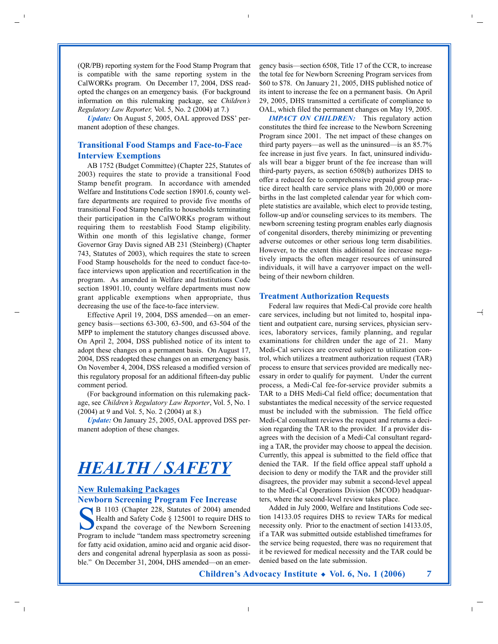(QR/PB) reporting system for the Food Stamp Program that is compatible with the same reporting system in the CalWORKs program. On December 17, 2004, DSS readopted the changes on an emergency basis. (For background information on this rulemaking package, see *Children's Regulatory Law Reporter, Vol. 5, No. 2 (2004) at 7.)* 

*Update:* On August 5, 2005, OAL approved DSS' permanent adoption of these changes.

### **Transitional Food Stamps and Face-to-Face Interview Exemptions**

AB 1752 (Budget Committee) (Chapter 225, Statutes of 2003) requires the state to provide a transitional Food Stamp benefit program. In accordance with amended Welfare and Institutions Code section 18901.6, county welfare departments are required to provide five months of transitional Food Stamp benefits to households terminating their participation in the CalWORKs program without requiring them to reestablish Food Stamp eligibility. Within one month of this legislative change, former Governor Gray Davis signed AB 231 (Steinberg) (Chapter 743, Statutes of 2003), which requires the state to screen Food Stamp households for the need to conduct face-toface interviews upon application and recertification in the program. As amended in Welfare and Institutions Code section 18901.10, county welfare departments must now grant applicable exemptions when appropriate, thus decreasing the use of the face-to-face interview.

Effective April 19, 2004, DSS amended—on an emergency basis—sections 63-300, 63-500, and 63-504 of the MPP to implement the statutory changes discussed above. On April 2, 2004, DSS published notice of its intent to adopt these changes on a permanent basis. On August 17, 2004, DSS readopted these changes on an emergency basis. On November 4, 2004, DSS released a modified version of this regulatory proposal for an additional fifteen-day public comment period.

(For background information on this rulemaking package, see *Children's Regulatory Law Reporter*, Vol. 5, No. 1 (2004) at 9 and Vol. 5, No. 2 (2004) at 8.)

*Update:* On January 25, 2005, OAL approved DSS permanent adoption of these changes.

## *HEALTH / SAFETY*

### **New Rulemaking Packages Newborn Screening Program Fee Increase**

B 1103 (Chapter 228, Statutes of 2004) amended Health and Safety Code § 125001 to require DHS to expand the coverage of the Newborn Screening Program to include "tandem mass spectrometry screening for fatty acid oxidation, amino acid and organic acid disorders and congenital adrenal hyperplasia as soon as possible." On December 31, 2004, DHS amended—on an emergency basis—section 6508, Title 17 of the CCR, to increase the total fee for Newborn Screening Program services from \$60 to \$78. On January 21, 2005, DHS published notice of its intent to increase the fee on a permanent basis. On April 29, 2005, DHS transmitted a certificate of compliance to OAL, which filed the permanent changes on May 19, 2005.

*IMPACT ON CHILDREN:* This regulatory action constitutes the third fee increase to the Newborn Screening Program since 2001. The net impact of these changes on third party payers—as well as the uninsured—is an 85.7% fee increase in just five years. In fact, uninsured individuals will bear a bigger brunt of the fee increase than will third-party payers, as section 6508(b) authorizes DHS to offer a reduced fee to comprehensive prepaid group practice direct health care service plans with 20,000 or more births in the last completed calendar year for which complete statistics are available, which elect to provide testing, follow-up and/or counseling services to its members. The newborn screening testing program enables early diagnosis of congenital disorders, thereby minimizing or preventing adverse outcomes or other serious long term disabilities. However, to the extent this additional fee increase negatively impacts the often meager resources of uninsured individuals, it will have a carryover impact on the wellbeing of their newborn children.

#### **Treatment Authorization Requests**

Federal law requires that Medi-Cal provide core health care services, including but not limited to, hospital inpatient and outpatient care, nursing services, physician services, laboratory services, family planning, and regular examinations for children under the age of 21. Many Medi-Cal services are covered subject to utilization control, which utilizes a treatment authorization request (TAR) process to ensure that services provided are medically necessary in order to qualify for payment. Under the current process, a Medi-Cal fee-for-service provider submits a TAR to a DHS Medi-Cal field office; documentation that substantiates the medical necessity of the service requested must be included with the submission. The field office Medi-Cal consultant reviews the request and returns a decision regarding the TAR to the provider. If a provider disagrees with the decision of a Medi-Cal consultant regarding a TAR, the provider may choose to appeal the decision. Currently, this appeal is submitted to the field office that denied the TAR. If the field office appeal staff uphold a decision to deny or modify the TAR and the provider still disagrees, the provider may submit a second-level appeal to the Medi-Cal Operations Division (MCOD) headquarters, where the second-level review takes place.

Added in July 2000, Welfare and Institutions Code section 14133.05 requires DHS to review TARs for medical necessity only. Prior to the enactment of section 14133.05, if a TAR was submitted outside established timeframes for the service being requested, there was no requirement that it be reviewed for medical necessity and the TAR could be denied based on the late submission.

**Children's Advocacy Institute ◆ Vol. 6, No. 1 (2006) 7**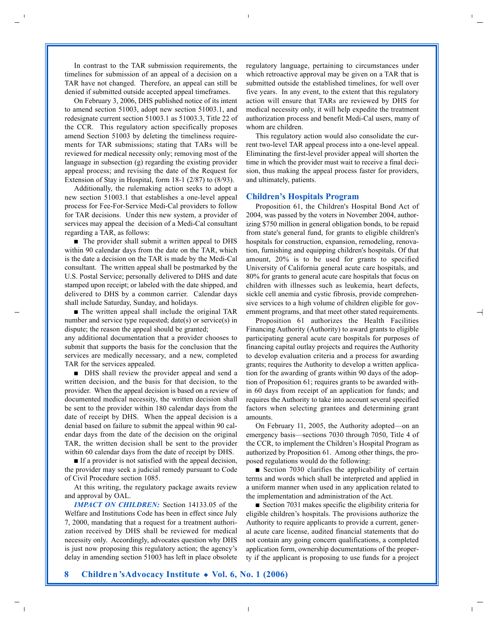In contrast to the TAR submission requirements, the timelines for submission of an appeal of a decision on a TAR have not changed. Therefore, an appeal can still be denied if submitted outside accepted appeal timeframes.

On February 3, 2006, DHS published notice of its intent to amend section 51003, adopt new section 51003.1, and redesignate current section 51003.1 as 51003.3, Title 22 of the CCR. This regulatory action specifically proposes amend Section 51003 by deleting the timeliness requirements for TAR submissions; stating that TARs will be reviewed for medical necessity only; removing most of the language in subsection (g) regarding the existing provider appeal process; and revising the date of the Request for Extension of Stay in Hospital, form 18-1 (2/87) to (8/93).

Additionally, the rulemaking action seeks to adopt a new section 51003.1 that establishes a one-level appeal process for Fee-For-Service Medi-Cal providers to follow for TAR decisions. Under this new system, a provider of services may appeal the decision of a Medi-Cal consultant regarding a TAR, as follows:

■ The provider shall submit a written appeal to DHS within 90 calendar days from the date on the TAR, which is the date a decision on the TAR is made by the Medi-Cal consultant. The written appeal shall be postmarked by the U.S. Postal Service; personally delivered to DHS and date stamped upon receipt; or labeled with the date shipped, and delivered to DHS by a common carrier. Calendar days shall include Saturday, Sunday, and holidays.

■ The written appeal shall include the original TAR number and service type requested; date(s) or service(s) in dispute; the reason the appeal should be granted;

any additional documentation that a provider chooses to submit that supports the basis for the conclusion that the services are medically necessary, and a new, completed TAR for the services appealed.

■ DHS shall review the provider appeal and send a written decision, and the basis for that decision, to the provider. When the appeal decision is based on a review of documented medical necessity, the written decision shall be sent to the provider within 180 calendar days from the date of receipt by DHS. When the appeal decision is a denial based on failure to submit the appeal within 90 calendar days from the date of the decision on the original TAR, the written decision shall be sent to the provider within 60 calendar days from the date of receipt by DHS.

■ If a provider is not satisfied with the appeal decision, the provider may seek a judicial remedy pursuant to Code of Civil Procedure section 1085.

At this writing, the regulatory package awaits review and approval by OAL.

*IMPACT ON CHILDREN:* Section 14133.05 of the Welfare and Institutions Code has been in effect since July 7, 2000, mandating that a request for a treatment authorization received by DHS shall be reviewed for medical necessity only. Accordingly, advocates question why DHS is just now proposing this regulatory action; the agency's delay in amending section 51003 has left in place obsolete

regulatory language, pertaining to circumstances under which retroactive approval may be given on a TAR that is submitted outside the established timelines, for well over five years. In any event, to the extent that this regulatory action will ensure that TARs are reviewed by DHS for medical necessity only, it will help expedite the treatment authorization process and benefit Medi-Cal users, many of whom are children.

This regulatory action would also consolidate the current two-level TAR appeal process into a one-level appeal. Eliminating the first-level provider appeal will shorten the time in which the provider must wait to receive a final decision, thus making the appeal process faster for providers, and ultimately, patients.

#### **Children's Hospitals Program**

Proposition 61, the Children's Hospital Bond Act of 2004, was passed by the voters in November 2004, authorizing \$750 million in general obligation bonds, to be repaid from state's general fund, for grants to eligible children's hospitals for construction, expansion, remodeling, renovation, furnishing and equipping children's hospitals. Of that amount, 20% is to be used for grants to specified University of California general acute care hospitals, and 80% for grants to general acute care hospitals that focus on children with illnesses such as leukemia, heart defects, sickle cell anemia and cystic fibrosis, provide comprehensive services to a high volume of children eligible for government programs, and that meet other stated requirements.

Proposition 61 authorizes the Health Facilities Financing Authority (Authority) to award grants to eligible participating general acute care hospitals for purposes of financing capital outlay projects and requires the Authority to develop evaluation criteria and a process for awarding grants; requires the Authority to develop a written application for the awarding of grants within 90 days of the adoption of Proposition 61; requires grants to be awarded within 60 days from receipt of an application for funds; and requires the Authority to take into account several specified factors when selecting grantees and determining grant amounts.

On February 11, 2005, the Authority adopted—on an emergency basis—sections 7030 through 7050, Title 4 of the CCR, to implement the Children's Hospital Program as authorized by Proposition 61. Among other things, the proposed regulations would do the following:

■ Section 7030 clarifies the applicability of certain terms and words which shall be interpreted and applied in a uniform manner when used in any application related to the implementation and administration of the Act.

■ Section 7031 makes specific the eligibility criteria for eligible children's hospitals. The provisions authorize the Authority to require applicants to provide a current, general acute care license, audited financial statements that do not contain any going concern qualifications, a completed application form, ownership documentations of the property if the applicant is proposing to use funds for a project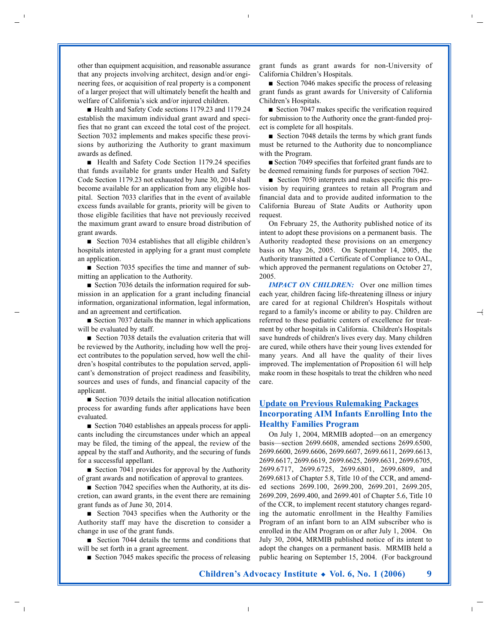other than equipment acquisition, and reasonable assurance that any projects involving architect, design and/or engineering fees, or acquisition of real property is a component of a larger project that will ultimately benefit the health and welfare of California's sick and/or injured children.

■ Health and Safety Code sections 1179.23 and 1179.24 establish the maximum individual grant award and specifies that no grant can exceed the total cost of the project. Section 7032 implements and makes specific these provisions by authorizing the Authority to grant maximum awards as defined.

■ Health and Safety Code Section 1179.24 specifies that funds available for grants under Health and Safety Code Section 1179.23 not exhausted by June 30, 2014 shall become available for an application from any eligible hospital. Section 7033 clarifies that in the event of available excess funds available for grants, priority will be given to those eligible facilities that have not previously received the maximum grant award to ensure broad distribution of grant awards.

■ Section 7034 establishes that all eligible children's hospitals interested in applying for a grant must complete an application.

■ Section 7035 specifies the time and manner of submitting an application to the Authority.

■ Section 7036 details the information required for submission in an application for a grant including financial information, organizational information, legal information, and an agreement and certification.

■ Section 7037 details the manner in which applications will be evaluated by staff.

■ Section 7038 details the evaluation criteria that will be reviewed by the Authority, including how well the project contributes to the population served, how well the children's hospital contributes to the population served, applicant's demonstration of project readiness and feasibility, sources and uses of funds, and financial capacity of the applicant.

■ Section 7039 details the initial allocation notification process for awarding funds after applications have been evaluated.

■ Section 7040 establishes an appeals process for applicants including the circumstances under which an appeal may be filed, the timing of the appeal, the review of the appeal by the staff and Authority, and the securing of funds for a successful appellant.

■ Section 7041 provides for approval by the Authority of grant awards and notification of approval to grantees.

■ Section 7042 specifies when the Authority, at its discretion, can award grants, in the event there are remaining grant funds as of June 30, 2014.

■ Section 7043 specifies when the Authority or the Authority staff may have the discretion to consider a change in use of the grant funds.

■ Section 7044 details the terms and conditions that will be set forth in a grant agreement.

■ Section 7045 makes specific the process of releasing

grant funds as grant awards for non-University of California Children's Hospitals.

■ Section 7046 makes specific the process of releasing grant funds as grant awards for University of California Children's Hospitals.

■ Section 7047 makes specific the verification required for submission to the Authority once the grant-funded project is complete for all hospitals.

■ Section 7048 details the terms by which grant funds must be returned to the Authority due to noncompliance with the Program.

■ Section 7049 specifies that forfeited grant funds are to be deemed remaining funds for purposes of section 7042.

■ Section 7050 interprets and makes specific this provision by requiring grantees to retain all Program and financial data and to provide audited information to the California Bureau of State Audits or Authority upon request.

On February 25, the Authority published notice of its intent to adopt these provisions on a permanent basis. The Authority readopted these provisions on an emergency basis on May 26, 2005. On September 14, 2005, the Authority transmitted a Certificate of Compliance to OAL, which approved the permanent regulations on October 27, 2005.

*IMPACT ON CHILDREN:* Over one million times each year, children facing life-threatening illness or injury are cared for at regional Children's Hospitals without regard to a family's income or ability to pay. Children are referred to these pediatric centers of excellence for treatment by other hospitals in California. Children's Hospitals save hundreds of children's lives every day. Many children are cured, while others have their young lives extended for many years. And all have the quality of their lives improved. The implementation of Proposition 61 will help make room in these hospitals to treat the children who need care.

### **Update on Previous Rulemaking Packages Incorporating AIM Infants Enrolling Into the Healthy Families Program**

On July 1, 2004, MRMIB adopted—on an emergency basis—section 2699.6608, amended sections 2699.6500, 2699.6600, 2699.6606, 2699.6607, 2699.6611, 2699.6613, 2699.6617, 2699.6619, 2699.6625, 2699.6631, 2699.6705, 2699.6717, 2699.6725, 2699.6801, 2699.6809, and 2699.6813 of Chapter 5.8, Title 10 of the CCR, and amended sections 2699.100, 2699.200, 2699.201, 2699.205, 2699.209, 2699.400, and 2699.401 of Chapter 5.6, Title 10 of the CCR, to implement recent statutory changes regarding the automatic enrollment in the Healthy Families Program of an infant born to an AIM subscriber who is enrolled in the AIM Program on or after July 1, 2004. On July 30, 2004, MRMIB published notice of its intent to adopt the changes on a permanent basis. MRMIB held a public hearing on September 15, 2004. (For background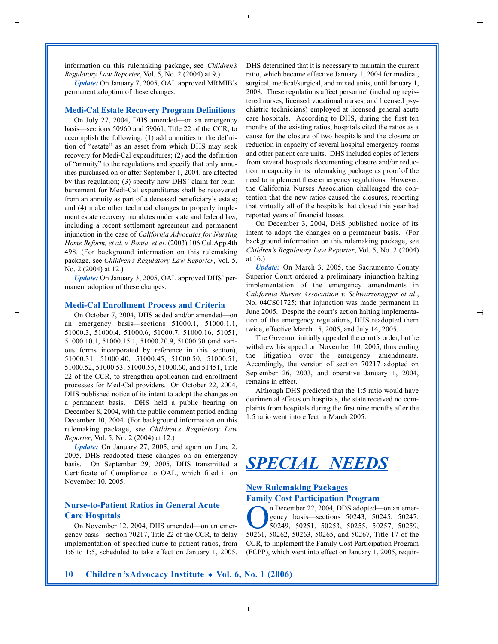information on this rulemaking package, see *Children's Regulatory Law Reporter*, Vol. 5, No. 2 (2004) at 9.)

*Update:* On January 7, 2005, OAL approved MRMIB's permanent adoption of these changes.

#### **Medi-Cal Estate Recovery Program Definitions**

On July 27, 2004, DHS amended—on an emergency basis—sections 50960 and 59061, Title 22 of the CCR, to accomplish the following: (1) add annuities to the definition of "estate" as an asset from which DHS may seek recovery for Medi-Cal expenditures; (2) add the definition of "annuity" to the regulations and specify that only annuities purchased on or after September 1, 2004, are affected by this regulation; (3) specify how DHS' claim for reimbursement for Medi-Cal expenditures shall be recovered from an annuity as part of a deceased beneficiary's estate; and (4) make other technical changes to properly implement estate recovery mandates under state and federal law, including a recent settlement agreement and permanent injunction in the case of *California Advocates for Nursing Home Reform, et al. v. Bonta, et al*. (2003) 106 Cal.App.4th 498. (For background information on this rulemaking package, see *Children's Regulatory Law Reporter*, Vol. 5, No. 2 (2004) at 12.)

*Update:* On January 3, 2005, OAL approved DHS' permanent adoption of these changes.

#### **Medi-Cal Enrollment Process and Criteria**

On October 7, 2004, DHS added and/or amended—on an emergency basis—sections 51000.1, 51000.1.1, 51000.3, 51000.4, 51000.6, 51000.7, 51000.16, 51051, 51000.10.1, 51000.15.1, 51000.20.9, 51000.30 (and various forms incorporated by reference in this section), 51000.31, 51000.40, 51000.45, 51000.50, 51000.51, 51000.52, 51000.53, 51000.55, 51000.60, and 51451, Title 22 of the CCR, to strengthen application and enrollment processes for Med-Cal providers. On October 22, 2004, DHS published notice of its intent to adopt the changes on a permanent basis. DHS held a public hearing on December 8, 2004, with the public comment period ending December 10, 2004. (For background information on this rulemaking package, see *Children's Regulatory Law Reporter*, Vol. 5, No. 2 (2004) at 12.)

*Update:* On January 27, 2005, and again on June 2, 2005, DHS readopted these changes on an emergency basis. On September 29, 2005, DHS transmitted a Certificate of Compliance to OAL, which filed it on November 10, 2005.

### **Nurse-to-Patient Ratios in General Acute Care Hospitals**

On November 12, 2004, DHS amended—on an emergency basis—section 70217, Title 22 of the CCR, to delay implementation of specified nurse-to-patient ratios, from 1:6 to 1:5, scheduled to take effect on January 1, 2005. DHS determined that it is necessary to maintain the current ratio, which became effective January 1, 2004 for medical, surgical, medical/surgical, and mixed units, until January 1, 2008. These regulations affect personnel (including registered nurses, licensed vocational nurses, and licensed psychiatric technicians) employed at licensed general acute care hospitals. According to DHS, during the first ten months of the existing ratios, hospitals cited the ratios as a cause for the closure of two hospitals and the closure or reduction in capacity of several hospital emergency rooms and other patient care units. DHS included copies of letters from several hospitals documenting closure and/or reduction in capacity in its rulemaking package as proof of the need to implement these emergency regulations. However, the California Nurses Association challenged the contention that the new ratios caused the closures, reporting that virtually all of the hospitals that closed this year had reported years of financial losses.

On December 3, 2004, DHS published notice of its intent to adopt the changes on a permanent basis. (For background information on this rulemaking package, see *Children's Regulatory Law Reporter*, Vol. 5, No. 2 (2004) at 16.)

*Update:* On March 3, 2005, the Sacramento County Superior Court ordered a preliminary injunction halting implementation of the emergency amendments in *California Nurses Association v. Schwarzenegger et al*., No. 04CS01725; that injunction was made permanent in June 2005. Despite the court's action halting implementation of the emergency regulations, DHS readopted them twice, effective March 15, 2005, and July 14, 2005.

The Governor initially appealed the court's order, but he withdrew his appeal on November 10, 2005, thus ending the litigation over the emergency amendments. Accordingly, the version of section 70217 adopted on September 26, 2003, and operative January 1, 2004, remains in effect.

Although DHS predicted that the 1:5 ratio would have detrimental effects on hospitals, the state received no complaints from hospitals during the first nine months after the 1:5 ratio went into effect in March 2005.

## *SPECIAL NEEDS*

### **New Rulemaking Packages Family Cost Participation Program**

n December 22, 2004, DDS adopted—on an emer-<br>
gency basis—sections 50243, 50245, 50247,<br>
50249, 50251, 50253, 50255, 50257, 50259,<br>
50261, 50262, 50265, and 50267, Title 17 of the gency basis—sections 50243, 50245, 50247, 50261, 50262, 50263, 50265, and 50267, Title 17 of the CCR, to implement the Family Cost Participation Program (FCPP), which went into effect on January 1, 2005, requir-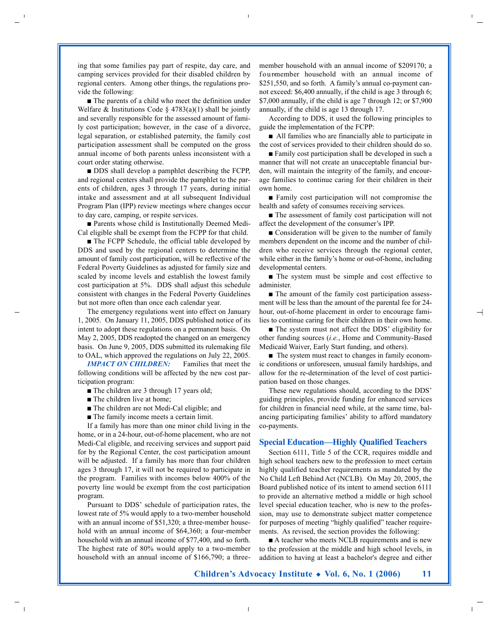ing that some families pay part of respite, day care, and camping services provided for their disabled children by regional centers. Among other things, the regulations provide the following:

■ The parents of a child who meet the definition under Welfare & Institutions Code  $\S$  4783(a)(1) shall be jointly and severally responsible for the assessed amount of family cost participation; however, in the case of a divorce, legal separation, or established paternity, the family cost participation assessment shall be computed on the gross annual income of both parents unless inconsistent with a court order stating otherwise.

■ DDS shall develop a pamphlet describing the FCPP, and regional centers shall provide the pamphlet to the parents of children, ages 3 through 17 years, during initial intake and assessment and at all subsequent Individual Program Plan (IPP) review meetings where changes occur to day care, camping, or respite services.

■ Parents whose child is Institutionally Deemed Medi-Cal eligible shall be exempt from the FCPP for that child.

■ The FCPP Schedule, the official table developed by DDS and used by the regional centers to determine the amount of family cost participation, will be reflective of the Federal Poverty Guidelines as adjusted for family size and scaled by income levels and establish the lowest family cost participation at 5%. DDS shall adjust this schedule consistent with changes in the Federal Poverty Guidelines but not more often than once each calendar year.

The emergency regulations went into effect on January 1, 2005. On January 11, 2005, DDS published notice of its intent to adopt these regulations on a permanent basis. On May 2, 2005, DDS readopted the changed on an emergency basis. On June 9, 2005, DDS submitted its rulemaking file to OAL, which approved the regulations on July 22, 2005.

*IMPACT ON CHILDREN:* Families that meet the following conditions will be affected by the new cost participation program:

- The children are 3 through 17 years old;
- The children live at home;
- The children are not Medi-Cal eligible; and
- The family income meets a certain limit.

If a family has more than one minor child living in the home, or in a 24-hour, out-of-home placement, who are not Medi-Cal eligible, and receiving services and support paid for by the Regional Center, the cost participation amount will be adjusted. If a family has more than four children ages 3 through 17, it will not be required to participate in the program. Families with incomes below 400% of the poverty line would be exempt from the cost participation program.

Pursuant to DDS' schedule of participation rates, the lowest rate of 5% would apply to a two-member household with an annual income of \$51,320; a three-member household with an annual income of \$64,360; a four-member household with an annual income of \$77,400, and so forth. The highest rate of 80% would apply to a two-member household with an annual income of \$166,790; a threemember household with an annual income of \$209170; a fourmember household with an annual income of \$251,550, and so forth. A family's annual co-payment cannot exceed: \$6,400 annually, if the child is age 3 through 6; \$7,000 annually, if the child is age 7 through 12; or \$7,900 annually, if the child is age 13 through 17.

According to DDS, it used the following principles to guide the implementation of the FCPP:

■ All families who are financially able to participate in the cost of services provided to their children should do so.

■ Family cost participation shall be developed in such a manner that will not create an unacceptable financial burden, will maintain the integrity of the family, and encourage families to continue caring for their children in their own home.

■ Family cost participation will not compromise the health and safety of consumes receiving services.

■ The assessment of family cost participation will not affect the development of the consumer's IPP.

■ Consideration will be given to the number of family members dependent on the income and the number of children who receive services through the regional center, while either in the family's home or out-of-home, including developmental centers.

■ The system must be simple and cost effective to administer.

■ The amount of the family cost participation assessment will be less than the amount of the parental fee for 24 hour, out-of-home placement in order to encourage families to continue caring for their children in their own home.

■ The system must not affect the DDS' eligibility for other funding sources (*i.e.*, Home and Community-Based Medicaid Waiver, Early Start funding, and others).

■ The system must react to changes in family economic conditions or unforeseen, unusual family hardships, and allow for the re-determination of the level of cost participation based on those changes.

These new regulations should, according to the DDS' guiding principles, provide funding for enhanced services for children in financial need while, at the same time, balancing participating families' ability to afford mandatory co-payments.

#### **Special Education—Highly Qualified Teachers**

Section 6111, Title 5 of the CCR, requires middle and high school teachers new to the profession to meet certain highly qualified teacher requirements as mandated by the No Child Left Behind Act (NCLB). On May 20, 2005, the Board published notice of its intent to amend section 6111 to provide an alternative method a middle or high school level special education teacher, who is new to the profession, may use to demonstrate subject matter competence for purposes of meeting "highly qualified" teacher requirements. As revised, the section provides the following:

■ A teacher who meets NCLB requirements and is new to the profession at the middle and high school levels, in addition to having at least a bachelor's degree and either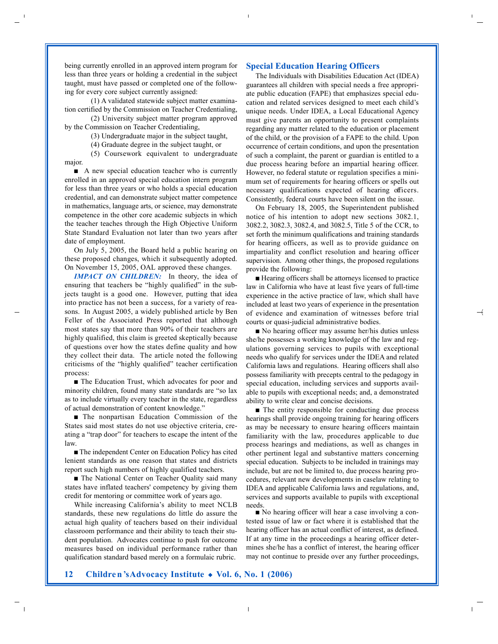being currently enrolled in an approved intern program for less than three years or holding a credential in the subject taught, must have passed or completed one of the following for every core subject currently assigned:

(1) A validated statewide subject matter examination certified by the Commission on Teacher Credentialing,

(2) University subject matter program approved by the Commission on Teacher Credentialing,

(3) Undergraduate major in the subject taught,

(4) Graduate degree in the subject taught, or

 $(5)$  Coursework equivalent to undergraduate major.

■ A new special education teacher who is currently enrolled in an approved special education intern program for less than three years or who holds a special education credential, and can demonstrate subject matter competence in mathematics, language arts, or science, may demonstrate competence in the other core academic subjects in which the teacher teaches through the High Objective Uniform State Standard Evaluation not later than two years after date of employment.

On July 5, 2005, the Board held a public hearing on these proposed changes, which it subsequently adopted. On November 15, 2005, OAL approved these changes.

*IMPACT ON CHILDREN:* In theory, the idea of ensuring that teachers be "highly qualified" in the subjects taught is a good one. However, putting that idea into practice has not been a success, for a variety of reasons. In August 2005, a widely published article by Ben Feller of the Associated Press reported that although most states say that more than 90% of their teachers are highly qualified, this claim is greeted skeptically because of questions over how the states define quality and how they collect their data. The article noted the following criticisms of the "highly qualified" teacher certification process:

■ The Education Trust, which advocates for poor and minority children, found many state standards are "so lax as to include virtually every teacher in the state, regardless of actual demonstration of content knowledge."

■ The nonpartisan Education Commission of the States said most states do not use objective criteria, creating a "trap door" for teachers to escape the intent of the law.

■ The independent Center on Education Policy has cited lenient standards as one reason that states and districts report such high numbers of highly qualified teachers.

■ The National Center on Teacher Quality said many states have inflated teachers' competency by giving them credit for mentoring or committee work of years ago.

While increasing California's ability to meet NCLB standards, these new regulations do little do assure the actual high quality of teachers based on their individual classroom performance and their ability to teach their student population. Advocates continue to push for outcome measures based on individual performance rather than qualification standard based merely on a formulaic rubric.

#### **Special Education Hearing Officers**

The Individuals with Disabilities Education Act (IDEA) guarantees all children with special needs a free appropriate public education (FAPE) that emphasizes special education and related services designed to meet each child's unique needs. Under IDEA, a Local Educational Agency must give parents an opportunity to present complaints regarding any matter related to the education or placement of the child, or the provision of a FAPE to the child. Upon occurrence of certain conditions, and upon the presentation of such a complaint, the parent or guardian is entitled to a due process hearing before an impartial hearing officer. However, no federal statute or regulation specifies a minimum set of requirements for hearing officers or spells out necessary qualifications expected of hearing officers. Consistently, federal courts have been silent on the issue.

On February 18, 2005, the Superintendent published notice of his intention to adopt new sections 3082.1, 3082.2, 3082.3, 3082.4, and 3082.5, Title 5 of the CCR, to set forth the minimum qualifications and training standards for hearing officers, as well as to provide guidance on impartiality and conflict resolution and hearing officer supervision. Among other things, the proposed regulations provide the following:

■ Hearing officers shall be attorneys licensed to practice law in California who have at least five years of full-time experience in the active practice of law, which shall have included at least two years of experience in the presentation of evidence and examination of witnesses before trial courts or quasi-judicial administrative bodies.

■ No hearing officer may assume her/his duties unless she/he possesses a working knowledge of the law and regulations governing services to pupils with exceptional needs who qualify for services under the IDEA and related California laws and regulations. Hearing officers shall also possess familiarity with precepts central to the pedagogy in special education, including services and supports available to pupils with exceptional needs; and, a demonstrated ability to write clear and concise decisions.

■ The entity responsible for conducting due process hearings shall provide ongoing training for hearing officers as may be necessary to ensure hearing officers maintain familiarity with the law, procedures applicable to due process hearings and mediations, as well as changes in other pertinent legal and substantive matters concerning special education. Subjects to be included in trainings may include, but are not be limited to, due process hearing procedures, relevant new developments in caselaw relating to IDEA and applicable California laws and regulations, and, services and supports available to pupils with exceptional needs.

■ No hearing officer will hear a case involving a contested issue of law or fact where it is established that the hearing officer has an actual conflict of interest, as defined. If at any time in the proceedings a hearing officer determines she/he has a conflict of interest, the hearing officer may not continue to preside over any further proceedings,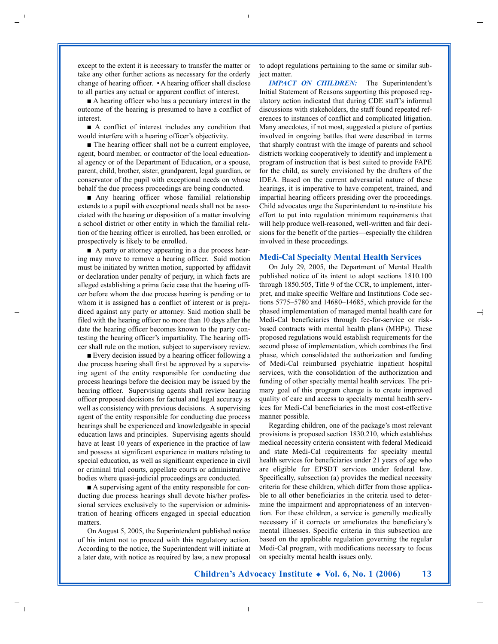except to the extent it is necessary to transfer the matter or take any other further actions as necessary for the orderly change of hearing officer. • A hearing officer shall disclose to all parties any actual or apparent conflict of interest.

■ A hearing officer who has a pecuniary interest in the outcome of the hearing is presumed to have a conflict of interest.

■ A conflict of interest includes any condition that would interfere with a hearing officer's objectivity.

■ The hearing officer shall not be a current employee, agent, board member, or contractor of the local educational agency or of the Department of Education, or a spouse, parent, child, brother, sister, grandparent, legal guardian, or conservator of the pupil with exceptional needs on whose behalf the due process proceedings are being conducted.

■ Any hearing officer whose familial relationship extends to a pupil with exceptional needs shall not be associated with the hearing or disposition of a matter involving a school district or other entity in which the familial relation of the hearing officer is enrolled, has been enrolled, or prospectively is likely to be enrolled.

■ A party or attorney appearing in a due process hearing may move to remove a hearing officer. Said motion must be initiated by written motion, supported by affidavit or declaration under penalty of perjury, in which facts are alleged establishing a prima facie case that the hearing officer before whom the due process hearing is pending or to whom it is assigned has a conflict of interest or is prejudiced against any party or attorney. Said motion shall be filed with the hearing officer no more than 10 days after the date the hearing officer becomes known to the party contesting the hearing officer's impartiality. The hearing officer shall rule on the motion, subject to supervisory review.

■ Every decision issued by a hearing officer following a due process hearing shall first be approved by a supervising agent of the entity responsible for conducting due process hearings before the decision may be issued by the hearing officer. Supervising agents shall review hearing officer proposed decisions for factual and legal accuracy as well as consistency with previous decisions. A supervising agent of the entity responsible for conducting due process hearings shall be experienced and knowledgeable in special education laws and principles. Supervising agents should have at least 10 years of experience in the practice of law and possess at significant experience in matters relating to special education, as well as significant experience in civil or criminal trial courts, appellate courts or administrative bodies where quasi-judicial proceedings are conducted.

■ A supervising agent of the entity responsible for conducting due process hearings shall devote his/her professional services exclusively to the supervision or administration of hearing officers engaged in special education matters.

On August 5, 2005, the Superintendent published notice of his intent not to proceed with this regulatory action. According to the notice, the Superintendent will initiate at a later date, with notice as required by law, a new proposal to adopt regulations pertaining to the same or similar subject matter.

*IMPACT ON CHILDREN:* The Superintendent's Initial Statement of Reasons supporting this proposed regulatory action indicated that during CDE staff's informal discussions with stakeholders, the staff found repeated references to instances of conflict and complicated litigation. Many anecdotes, if not most, suggested a picture of parties involved in ongoing battles that were described in terms that sharply contrast with the image of parents and school districts working cooperatively to identify and implement a program of instruction that is best suited to provide FAPE for the child, as surely envisioned by the drafters of the IDEA. Based on the current adversarial nature of these hearings, it is imperative to have competent, trained, and impartial hearing officers presiding over the proceedings. Child advocates urge the Superintendent to re-institute his effort to put into regulation minimum requirements that will help produce well-reasoned, well-written and fair decisions for the benefit of the parties—especially the children involved in these proceedings.

#### **Medi-Cal Specialty Mental Health Services**

On July 29, 2005, the Department of Mental Health published notice of its intent to adopt sections 1810.100 through 1850.505, Title 9 of the CCR, to implement, interpret, and make specific Welfare and Institutions Code sections 5775–5780 and 14680–14685, which provide for the phased implementation of managed mental health care for Medi-Cal beneficiaries through fee-for-service or riskbased contracts with mental health plans (MHPs). These proposed regulations would establish requirements for the second phase of implementation, which combines the first phase, which consolidated the authorization and funding of Medi-Cal reimbursed psychiatric inpatient hospital services, with the consolidation of the authorization and funding of other specialty mental health services. The primary goal of this program change is to create improved quality of care and access to specialty mental health services for Medi-Cal beneficiaries in the most cost-effective manner possible.

Regarding children, one of the package's most relevant provisions is proposed section 1830.210, which establishes medical necessity criteria consistent with federal Medicaid and state Medi-Cal requirements for specialty mental health services for beneficiaries under 21 years of age who are eligible for EPSDT services under federal law. Specifically, subsection (a) provides the medical necessity criteria for these children, which differ from those applicable to all other beneficiaries in the criteria used to determine the impairment and appropriateness of an intervention. For these children, a service is generally medically necessary if it corrects or ameliorates the beneficiary's mental illnesses. Specific criteria in this subsection are based on the applicable regulation governing the regular Medi-Cal program, with modifications necessary to focus on specialty mental health issues only.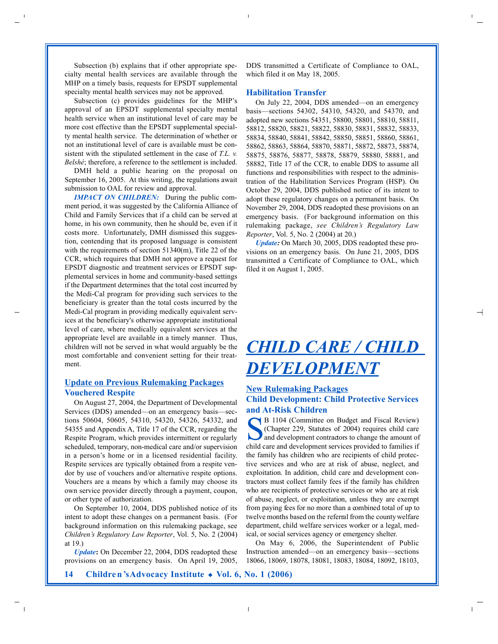Subsection (b) explains that if other appropriate specialty mental health services are available through the MHP on a timely basis, requests for EPSDT supplemental specialty mental health services may not be approved.

Subsection (c) provides guidelines for the MHP's approval of an EPSDT supplemental specialty mental health service when an institutional level of care may be more cost effective than the EPSDT supplemental specialty mental health service. The determination of whether or not an institutional level of care is available must be consistent with the stipulated settlement in the case of *T.L. v. Belshé*; therefore, a reference to the settlement is included.

DMH held a public hearing on the proposal on September 16, 2005. At this writing, the regulations await submission to OAL for review and approval.

*IMPACT ON CHILDREN:* During the public comment period, it was suggested by the California Alliance of Child and Family Services that if a child can be served at home, in his own community, then he should be, even if it costs more. Unfortunately, DMH dismissed this suggestion, contending that its proposed language is consistent with the requirements of section 51340(m), Title 22 of the CCR, which requires that DMH not approve a request for EPSDT diagnostic and treatment services or EPSDT supplemental services in home and community-based settings if the Department determines that the total cost incurred by the Medi-Cal program for providing such services to the beneficiary is greater than the total costs incurred by the Medi-Cal program in providing medically equivalent services at the beneficiary's otherwise appropriate institutional level of care, where medically equivalent services at the appropriate level are available in a timely manner. Thus, children will not be served in what would arguably be the most comfortable and convenient setting for their treatment.

### **Update on Previous Rulemaking Packages Vouchered Respite**

On August 27, 2004, the Department of Developmental Services (DDS) amended—on an emergency basis—sections 50604, 50605, 54310, 54320, 54326, 54332, and 54355 and Appendix A, Title 17 of the CCR, regarding the Respite Program, which provides intermittent or regularly scheduled, temporary, non-medical care and/or supervision in a person's home or in a licensed residential facility. Respite services are typically obtained from a respite vendor by use of vouchers and/or alternative respite options. Vouchers are a means by which a family may choose its own service provider directly through a payment, coupon, or other type of authorization.

On September 10, 2004, DDS published notice of its intent to adopt these changes on a permanent basis. (For background information on this rulemaking package, see *Children's Regulatory Law Reporter*, Vol. 5, No. 2 (2004) at 19.)

*Update***:** On December 22, 2004, DDS readopted these provisions on an emergency basis. On April 19, 2005,

DDS transmitted a Certificate of Compliance to OAL, which filed it on May 18, 2005.

#### **Habilitation Transfer**

On July 22, 2004, DDS amended—on an emergency basis—sections 54302, 54310, 54320, and 54370, and adopted new sections 54351, 58800, 58801, 58810, 58811, 58812, 58820, 58821, 58822, 58830, 58831, 58832, 58833, 58834, 58840, 58841, 58842, 58850, 58851, 58860, 58861, 58862, 58863, 58864, 58870, 58871, 58872, 58873, 58874, 58875, 58876, 58877, 58878, 58879, 58880, 58881, and 58882, Title 17 of the CCR, to enable DDS to assume all functions and responsibilities with respect to the administration of the Habilitation Services Program (HSP). On October 29, 2004, DDS published notice of its intent to adopt these regulatory changes on a permanent basis. On November 29, 2004, DDS readopted these provisions on an emergency basis. (For background information on this rulemaking package, see Children's Regulatory Law *Reporter*, Vol. 5, No. 2 (2004) at 20.)

*Update:* On March 30, 2005, DDS readopted these provisions on an emergency basis. On June 21, 2005, DDS transmitted a Certificate of Compliance to OAL, which filed it on August 1, 2005.

## *CHILD CARE / CHILD DEVELOPMENT*

#### **New Rulemaking Packages**

#### **Child Development: Child Protective Services and At-Risk Children**

B 1104 (Committee on Budget and Fiscal Review)<br>
(Chapter 229, Statutes of 2004) requires child care<br>
and development contractors to change the amount of<br>
abild care and davelopment corrieres provided to femilies if (Chapter 229, Statutes of 2004) requires child care and development contractors to change the amount of child care and development services provided to families if the family has children who are recipients of child protective services and who are at risk of abuse, neglect, and exploitation. In addition, child care and development contractors must collect family fees if the family has children who are recipients of protective services or who are at risk of abuse, neglect, or exploitation, unless they are exempt from paying fees for no more than a combined total of up to twelve months based on the referral from the county welfare department, child welfare services worker or a legal, medical, or social services agency or emergency shelter.

On May 6, 2006, the Superintendent of Public Instruction amended—on an emergency basis—sections 18066, 18069, 18078, 18081, 18083, 18084, 18092, 18103,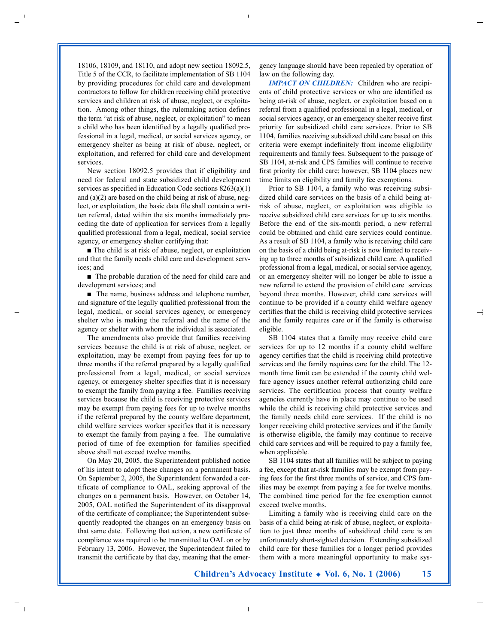18106, 18109, and 18110, and adopt new section 18092.5, Title 5 of the CCR, to facilitate implementation of SB 1104 by providing procedures for child care and development contractors to follow for children receiving child protective services and children at risk of abuse, neglect, or exploitation. Among other things, the rulemaking action defines the term "at risk of abuse, neglect, or exploitation" to mean a child who has been identified by a legally qualified professional in a legal, medical, or social services agency, or emergency shelter as being at risk of abuse, neglect, or exploitation, and referred for child care and development services.

New section 18092.5 provides that if eligibility and need for federal and state subsidized child development services as specified in Education Code sections 8263(a)(1) and (a)(2) are based on the child being at risk of abuse, neglect, or exploitation, the basic data file shall contain a written referral, dated within the six months immediately preceding the date of application for services from a legally qualified professional from a legal, medical, social service agency, or emergency shelter certifying that:

■ The child is at risk of abuse, neglect, or exploitation and that the family needs child care and development services; and

■ The probable duration of the need for child care and development services; and

■ The name, business address and telephone number, and signature of the legally qualified professional from the legal, medical, or social services agency, or emergency shelter who is making the referral and the name of the agency or shelter with whom the individual is associated.

The amendments also provide that families receiving services because the child is at risk of abuse, neglect, or exploitation, may be exempt from paying fees for up to three months if the referral prepared by a legally qualified professional from a legal, medical, or social services agency, or emergency shelter specifies that it is necessary to exempt the family from paying a fee. Families receiving services because the child is receiving protective services may be exempt from paying fees for up to twelve months if the referral prepared by the county welfare department, child welfare services worker specifies that it is necessary to exempt the family from paying a fee. The cumulative period of time of fee exemption for families specified above shall not exceed twelve months.

On May 20, 2005, the Superintendent published notice of his intent to adopt these changes on a permanent basis. On September 2, 2005, the Superintendent forwarded a certificate of compliance to OAL, seeking approval of the changes on a permanent basis. However, on October 14, 2005, OAL notified the Superintendent of its disapproval of the certificate of compliance; the Superintendent subsequently readopted the changes on an emergency basis on that same date. Following that action, a new certificate of compliance was required to be transmitted to OAL on or by February 13, 2006. However, the Superintendent failed to transmit the certificate by that day, meaning that the emergency language should have been repealed by operation of law on the following day.

*IMPACT ON CHILDREN:* Children who are recipients of child protective services or who are identified as being at-risk of abuse, neglect, or exploitation based on a referral from a qualified professional in a legal, medical, or social services agency, or an emergency shelter receive first priority for subsidized child care services. Prior to SB 1104, families receiving subsidized child care based on this criteria were exempt indefinitely from income eligibility requirements and family fees. Subsequent to the passage of SB 1104, at-risk and CPS families will continue to receive first priority for child care; however, SB 1104 places new time limits on eligibility and family fee exemptions.

Prior to SB 1104, a family who was receiving subsidized child care services on the basis of a child being atrisk of abuse, neglect, or exploitation was eligible to receive subsidized child care services for up to six months. Before the end of the six-month period, a new referral could be obtained and child care services could continue. As a result of SB 1104, a family who is receiving child care on the basis of a child being at-risk is now limited to receiving up to three months of subsidized child care. A qualified professional from a legal, medical, or social service agency, or an emergency shelter will no longer be able to issue a new referral to extend the provision of child care services beyond three months. However, child care services will continue to be provided if a county child welfare agency certifies that the child is receiving child protective services and the family requires care or if the family is otherwise eligible.

SB 1104 states that a family may receive child care services for up to 12 months if a county child welfare agency certifies that the child is receiving child protective services and the family requires care for the child. The 12 month time limit can be extended if the county child welfare agency issues another referral authorizing child care services. The certification process that county welfare agencies currently have in place may continue to be used while the child is receiving child protective services and the family needs child care services. If the child is no longer receiving child protective services and if the family is otherwise eligible, the family may continue to receive child care services and will be required to pay a family fee, when applicable.

SB 1104 states that all families will be subject to paying a fee, except that at-risk families may be exempt from paying fees for the first three months of service, and CPS families may be exempt from paying a fee for twelve months. The combined time period for the fee exemption cannot exceed twelve months.

Limiting a family who is receiving child care on the basis of a child being at-risk of abuse, neglect, or exploitation to just three months of subsidized child care is an unfortunately short-sighted decision. Extending subsidized child care for these families for a longer period provides them with a more meaningful opportunity to make sys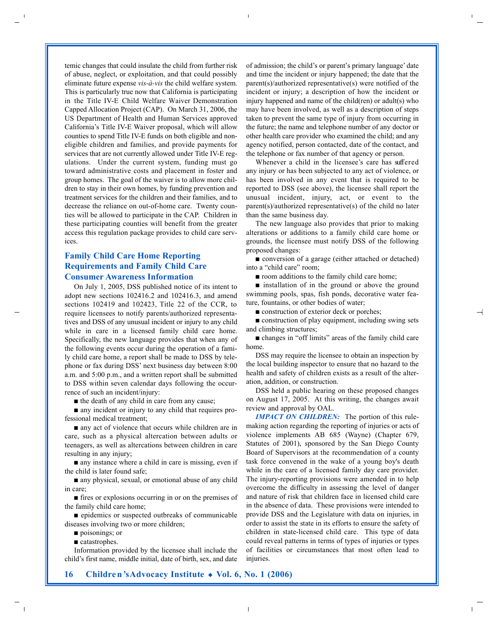temic changes that could insulate the child from further risk of abuse, neglect, or exploitation, and that could possibly eliminate future expense *vis-à-vis* the child welfare system. This is particularly true now that California is participating in the Title IV-E Child Welfare Waiver Demonstration Capped Allocation Project (CAP). On March 31, 2006, the US Department of Health and Human Services approved California's Title IV-E Waiver proposal, which will allow counties to spend Title IV-E funds on both eligible and noneligible children and families, and provide payments for services that are not currently allowed under Title IV-E regulations. Under the current system, funding must go toward administrative costs and placement in foster and group homes. The goal of the waiver is to allow more children to stay in their own homes, by funding prevention and treatment services for the children and their families, and to decrease the reliance on out-of-home care. Twenty counties will be allowed to participate in the CAP. Children in these participating counties will benefit from the greater access this regulation package provides to child care services.

#### **Family Child Care Home Reporting Requirements and Family Child Care Consumer Awareness Information**

On July 1, 2005, DSS published notice of its intent to adopt new sections 102416.2 and 102416.3, and amend sections 102419 and 102423, Title 22 of the CCR, to require licensees to notify parents/authorized representatives and DSS of any unusual incident or injury to any child while in care in a licensed family child care home. Specifically, the new language provides that when any of the following events occur during the operation of a family child care home, a report shall be made to DSS by telephone or fax during DSS' next business day between 8:00 a.m. and 5:00 p.m., and a written report shall be submitted to DSS within seven calendar days following the occurrence of such an incident/injury:

■ the death of any child in care from any cause;

■ any incident or injury to any child that requires professional medical treatment;

■ any act of violence that occurs while children are in care, such as a physical altercation between adults or teenagers, as well as altercations between children in care resulting in any injury;

■ any instance where a child in care is missing, even if the child is later found safe;

■ any physical, sexual, or emotional abuse of any child in care;

■ fires or explosions occurring in or on the premises of the family child care home;

■ epidemics or suspected outbreaks of communicable diseases involving two or more children;

poisonings; or

■ catastrophes.

Information provided by the licensee shall include the child's first name, middle initial, date of birth, sex, and date

of admission; the child's or parent's primary language' date and time the incident or injury happened; the date that the parent(s)/authorized representative(s) were notified of the incident or injury; a description of how the incident or injury happened and name of the child(ren) or adult(s) who may have been involved, as well as a description of steps taken to prevent the same type of injury from occurring in the future; the name and telephone number of any doctor or other health care provider who examined the child; and any agency notified, person contacted, date of the contact, and the telephone or fax number of that agency or person.

Whenever a child in the licensee's care has suffered any injury or has been subjected to any act of violence, or has been involved in any event that is required to be reported to DSS (see above), the licensee shall report the unusual incident, injury, act, or event to the parent(s)/authorized representative(s) of the child no later than the same business day.

The new language also provides that prior to making alterations or additions to a family child care home or grounds, the licensee must notify DSS of the following proposed changes:

■ conversion of a garage (either attached or detached) into a "child care" room;

■ room additions to the family child care home;

■ installation of in the ground or above the ground swimming pools, spas, fish ponds, decorative water feature, fountains, or other bodies of water;

■ construction of exterior deck or porches;

■ construction of play equipment, including swing sets and climbing structures;

■ changes in "off limits" areas of the family child care home.

DSS may require the licensee to obtain an inspection by the local building inspector to ensure that no hazard to the health and safety of children exists as a result of the alteration, addition, or construction.

DSS held a public hearing on these proposed changes on August 17, 2005. At this writing, the changes await review and approval by OAL.

*IMPACT ON CHILDREN:* The portion of this rulemaking action regarding the reporting of injuries or acts of violence implements AB 685 (Wayne) (Chapter 679, Statutes of 2001), sponsored by the San Diego County Board of Supervisors at the recommendation of a county task force convened in the wake of a young boy's death while in the care of a licensed family day care provider. The injury-reporting provisions were amended in to help overcome the difficulty in assessing the level of danger and nature of risk that children face in licensed child care in the absence of data. These provisions were intended to provide DSS and the Legislature with data on injuries, in order to assist the state in its efforts to ensure the safety of children in state-licensed child care. This type of data could reveal patterns in terms of types of injuries or types of facilities or circumstances that most often lead to injuries.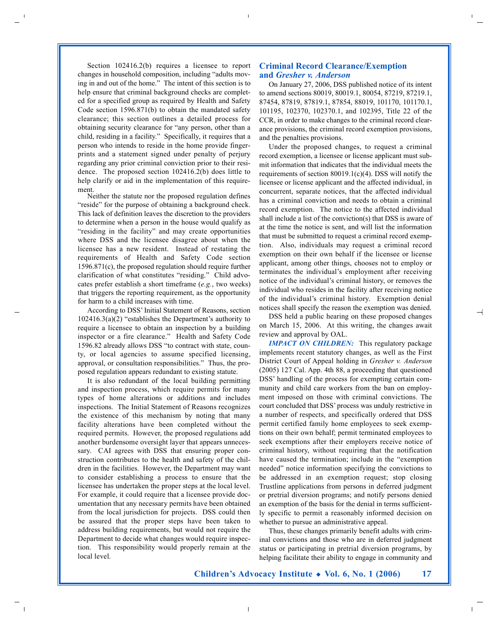Section 102416.2(b) requires a licensee to report changes in household composition, including "adults moving in and out of the home." The intent of this section is to help ensure that criminal background checks are completed for a specified group as required by Health and Safety Code section 1596.871(b) to obtain the mandated safety clearance; this section outlines a detailed process for obtaining security clearance for "any person, other than a child, residing in a facility." Specifically, it requires that a person who intends to reside in the home provide fingerprints and a statement signed under penalty of perjury regarding any prior criminal conviction prior to their residence. The proposed section 102416.2(b) does little to help clarify or aid in the implementation of this requirement.

Neither the statute nor the proposed regulation defines "reside" for the purpose of obtaining a background check. This lack of definition leaves the discretion to the providers to determine when a person in the house would qualify as "residing in the facility" and may create opportunities where DSS and the licensee disagree about when the licensee has a new resident. Instead of restating the requirements of Health and Safety Code section 1596.871(c), the proposed regulation should require further clarification of what constitutes "residing." Child advocates prefer establish a short timeframe (*e.g.*, two weeks) that triggers the reporting requirement, as the opportunity for harm to a child increases with time.

According to DSS'Initial Statement of Reasons, section 102416.3(a)(2) "establishes the Department's authority to require a licensee to obtain an inspection by a building inspector or a fire clearance." Health and Safety Code 1596.82 already allows DSS "to contract with state, county, or local agencies to assume specified licensing, approval, or consultation responsibilities." Thus, the proposed regulation appears redundant to existing statute.

It is also redundant of the local building permitting and inspection process, which require permits for many types of home alterations or additions and includes inspections. The Initial Statement of Reasons recognizes the existence of this mechanism by noting that many facility alterations have been completed without the required permits. However, the proposed regulations add another burdensome oversight layer that appears unnecessary. CAI agrees with DSS that ensuring proper construction contributes to the health and safety of the children in the facilities. However, the Department may want to consider establishing a process to ensure that the licensee has undertaken the proper steps at the local level. For example, it could require that a licensee provide documentation that any necessary permits have been obtained from the local jurisdiction for projects. DSS could then be assured that the proper steps have been taken to address building requirements, but would not require the Department to decide what changes would require inspection. This responsibility would properly remain at the local level.

#### **Criminal Record Clearance/Exemption and** *Gresher v. Anderson*

On January 27, 2006, DSS published notice of its intent to amend sections 80019, 80019.1, 80054, 87219, 87219.1, 87454, 87819, 87819.1, 87854, 88019, 101170, 101170.1, 101195, 102370, 102370.1, and 102395, Title 22 of the CCR, in order to make changes to the criminal record clearance provisions, the criminal record exemption provisions, and the penalties provisions.

Under the proposed changes, to request a criminal record exemption, a licensee or license applicant must submit information that indicates that the individual meets the requirements of section 80019.1(c)(4). DSS will notify the licensee or license applicant and the affected individual, in concurrent, separate notices, that the affected individual has a criminal conviction and needs to obtain a criminal record exemption. The notice to the affected individual shall include a list of the conviction(s) that DSS is aware of at the time the notice is sent, and will list the information that must be submitted to request a criminal record exemption. Also, individuals may request a criminal record exemption on their own behalf if the licensee or license applicant, among other things, chooses not to employ or terminates the individual's employment after receiving notice of the individual's criminal history, or removes the individual who resides in the facility after receiving notice of the individual's criminal history. Exemption denial notices shall specify the reason the exemption was denied.

DSS held a public hearing on these proposed changes on March 15, 2006. At this writing, the changes await review and approval by OAL.

*IMPACT ON CHILDREN:* This regulatory package implements recent statutory changes, as well as the First District Court of Appeal holding in *Gresher v. Anderson* (2005) 127 Cal. App. 4th 88, a proceeding that questioned DSS' handling of the process for exempting certain community and child care workers from the ban on employment imposed on those with criminal convictions. The court concluded that DSS' process was unduly restrictive in a number of respects, and specifically ordered that DSS permit certified family home employees to seek exemptions on their own behalf; permit terminated employees to seek exemptions after their employers receive notice of criminal history, without requiring that the notification have caused the termination; include in the "exemption needed" notice information specifying the convictions to be addressed in an exemption request; stop closing Trustline applications from persons in deferred judgment or pretrial diversion programs; and notify persons denied an exemption of the basis for the denial in terms sufficiently specific to permit a reasonably informed decision on whether to pursue an administrative appeal.

Thus, these changes primarily benefit adults with criminal convictions and those who are in deferred judgment status or participating in pretrial diversion programs, by helping facilitate their ability to engage in community and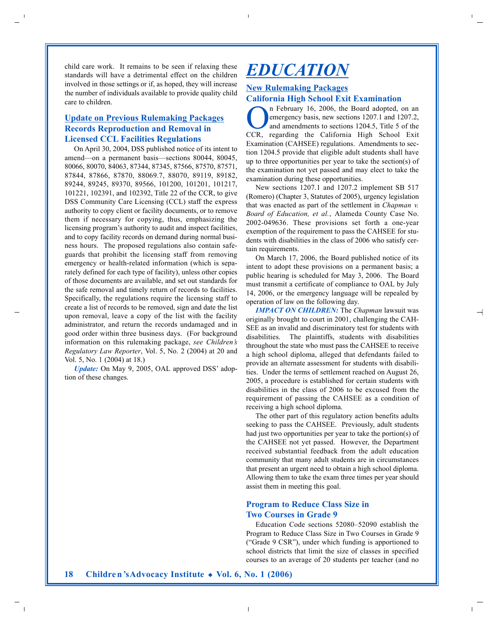child care work. It remains to be seen if relaxing these standards will have a detrimental effect on the children involved in those settings or if, as hoped, they will increase the number of individuals available to provide quality child care to children.

## **Update on Previous Rulemaking Packages Records Reproduction and Removal in Licensed CCL Facilities Regulations**

On April 30, 2004, DSS published notice of its intent to amend—on a permanent basis—sections 80044, 80045, 80066, 80070, 84063, 87344, 87345, 87566, 87570, 87571, 87844, 87866, 87870, 88069.7, 88070, 89119, 89182, 89244, 89245, 89370, 89566, 101200, 101201, 101217, 101221, 102391, and 102392, Title 22 of the CCR, to give DSS Community Care Licensing (CCL) staff the express authority to copy client or facility documents, or to remove them if necessary for copying, thus, emphasizing the licensing program's authority to audit and inspect facilities, and to copy facility records on demand during normal business hours. The proposed regulations also contain safeguards that prohibit the licensing staff from removing emergency or health-related information (which is separately defined for each type of facility), unless other copies of those documents are available, and set out standards for the safe removal and timely return of records to facilities. Specifically, the regulations require the licensing staff to create a list of records to be removed, sign and date the list upon removal, leave a copy of the list with the facility administrator, and return the records undamaged and in good order within three business days. (For background information on this rulemaking package, *see Children's Regulatory Law Reporter*, Vol. 5, No. 2 (2004) at 20 and Vol. 5, No. 1 (2004) at 18.)

*Update:* On May 9, 2005, OAL approved DSS' adoption of these changes.

## *EDUCATION*

### **New Rulemaking Packages California High School Exit Examination**

n February 16, 2006, the Board adopted, on an emergency basis, new sections 1207.1 and 1207.2, and amendments to sections 1204.5, Title 5 of the CCR, regarding the California High School Exit Examination (CAHSEE) regulations. Amendments to section 1204.5 provide that eligible adult students shall have up to three opportunities per year to take the section(s) of the examination not yet passed and may elect to take the examination during these opportunities.

New sections 1207.1 and 1207.2 implement SB 517 (Romero) (Chapter 3, Statutes of 2005), urgency legislation that was enacted as part of the settlement in *Chapman v. Board of Education, et al.*, Alameda County Case No. 2002-049636. These provisions set forth a one-year exemption of the requirement to pass the CAHSEE for students with disabilities in the class of 2006 who satisfy certain requirements.

On March 17, 2006, the Board published notice of its intent to adopt these provisions on a permanent basis; a public hearing is scheduled for May 3, 2006. The Board must transmit a certificate of compliance to OAL by July 14, 2006, or the emergency language will be repealed by operation of law on the following day.

*IMPACT ON CHILDREN:* The *Chapman* lawsuit was originally brought to court in 2001, challenging the CAH-SEE as an invalid and discriminatory test for students with disabilities. The plaintiffs, students with disabilities throughout the state who must pass the CAHSEE to receive a high school diploma, alleged that defendants failed to provide an alternate assessment for students with disabilities. Under the terms of settlement reached on August 26, 2005, a procedure is established for certain students with disabilities in the class of 2006 to be excused from the requirement of passing the CAHSEE as a condition of receiving a high school diploma.

The other part of this regulatory action benefits adults seeking to pass the CAHSEE. Previously, adult students had just two opportunities per year to take the portion(s) of the CAHSEE not yet passed. However, the Department received substantial feedback from the adult education community that many adult students are in circumstances that present an urgent need to obtain a high school diploma. Allowing them to take the exam three times per year should assist them in meeting this goal.

### **Program to Reduce Class Size in Two Courses in Grade 9**

Education Code sections 52080–52090 establish the Program to Reduce Class Size in Two Courses in Grade 9 ("Grade 9 CSR"), under which funding is apportioned to school districts that limit the size of classes in specified courses to an average of 20 students per teacher (and no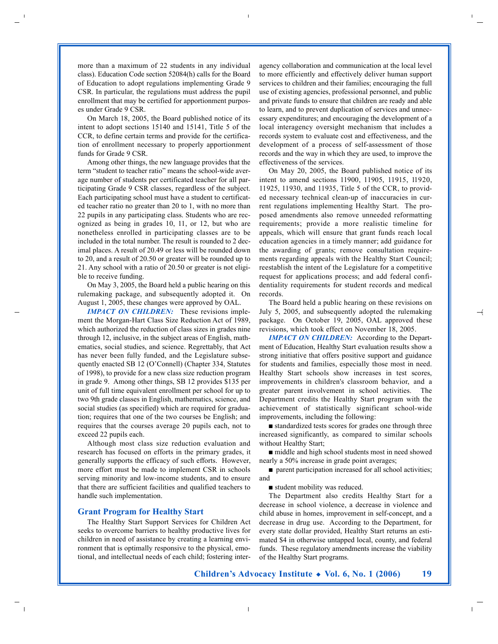more than a maximum of 22 students in any individual class). Education Code section 52084(h) calls for the Board of Education to adopt regulations implementing Grade 9 CSR. In particular, the regulations must address the pupil enrollment that may be certified for apportionment purposes under Grade 9 CSR.

On March 18, 2005, the Board published notice of its intent to adopt sections 15140 and 15141, Title 5 of the CCR, to define certain terms and provide for the certification of enrollment necessary to properly apportionment funds for Grade 9 CSR.

Among other things, the new language provides that the term "student to teacher ratio" means the school-wide average number of students per certificated teacher for all participating Grade 9 CSR classes, regardless of the subject. Each participating school must have a student to certificated teacher ratio no greater than 20 to 1, with no more than 22 pupils in any participating class. Students who are recognized as being in grades 10, 11, or 12, but who are nonetheless enrolled in participating classes are to be included in the total number. The result is rounded to 2 decimal places. A result of 20.49 or less will be rounded down to 20, and a result of 20.50 or greater will be rounded up to 21. Any school with a ratio of 20.50 or greater is not eligible to receive funding.

On May 3, 2005, the Board held a public hearing on this rulemaking package, and subsequently adopted it. On August 1, 2005, these changes were approved by OAL.

*IMPACT ON CHILDREN:* These revisions implement the Morgan-Hart Class Size Reduction Act of 1989, which authorized the reduction of class sizes in grades nine through 12, inclusive, in the subject areas of English, mathematics, social studies, and science. Regrettably, that Act has never been fully funded, and the Legislature subsequently enacted SB 12 (O'Connell) (Chapter 334, Statutes of 1998), to provide for a new class size reduction program in grade 9. Among other things, SB 12 provides \$135 per unit of full time equivalent enrollment per school for up to two 9th grade classes in English, mathematics, science, and social studies (as specified) which are required for graduation; requires that one of the two courses be English; and requires that the courses average 20 pupils each, not to exceed 22 pupils each.

Although most class size reduction evaluation and research has focused on efforts in the primary grades, it generally supports the efficacy of such efforts. However, more effort must be made to implement CSR in schools serving minority and low-income students, and to ensure that there are sufficient facilities and qualified teachers to handle such implementation.

#### **Grant Program for Healthy Start**

The Healthy Start Support Services for Children Act seeks to overcome barriers to healthy productive lives for children in need of assistance by creating a learning environment that is optimally responsive to the physical, emotional, and intellectual needs of each child; fostering interagency collaboration and communication at the local level to more efficiently and effectively deliver human support services to children and their families; encouraging the full use of existing agencies, professional personnel, and public and private funds to ensure that children are ready and able to learn, and to prevent duplication of services and unnecessary expenditures; and encouraging the development of a local interagency oversight mechanism that includes a records system to evaluate cost and effectiveness, and the development of a process of self-assessment of those records and the way in which they are used, to improve the effectiveness of the services.

On May 20, 2005, the Board published notice of its intent to amend sections 11900, 11905, 11915, 11920, 11925, 11930, and 11935, Title 5 of the CCR, to provided necessary technical clean-up of inaccuracies in current regulations implementing Healthy Start. The proposed amendments also remove unneeded reformatting requirements; provide a more realistic timeline for appeals, which will ensure that grant funds reach local education agencies in a timely manner; add guidance for the awarding of grants; remove consultation requirements regarding appeals with the Healthy Start Council; reestablish the intent of the Legislature for a competitive request for applications process; and add federal confidentiality requirements for student records and medical records.

The Board held a public hearing on these revisions on July 5, 2005, and subsequently adopted the rulemaking package. On October 19, 2005, OAL approved these revisions, which took effect on November 18, 2005.

*IMPACT ON CHILDREN:* According to the Department of Education, Healthy Start evaluation results show a strong initiative that offers positive support and guidance for students and families, especially those most in need. Healthy Start schools show increases in test scores, improvements in children's classroom behavior, and a greater parent involvement in school activities. The Department credits the Healthy Start program with the achievement of statistically significant school-wide improvements, including the following:

■ standardized tests scores for grades one through three increased significantly, as compared to similar schools without Healthy Start;

■ middle and high school students most in need showed nearly a 50% increase in grade point averages;

■ parent participation increased for all school activities; and

■ student mobility was reduced.

The Department also credits Healthy Start for a decrease in school violence, a decrease in violence and child abuse in homes, improvement in self-concept, and a decrease in drug use. According to the Department, for every state dollar provided, Healthy Start returns an estimated \$4 in otherwise untapped local, county, and federal funds. These regulatory amendments increase the viability of the Healthy Start programs.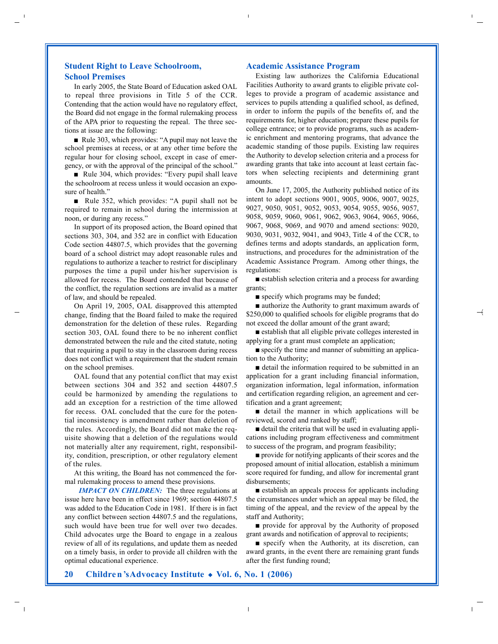### **Student Right to Leave Schoolroom, School Premises**

In early 2005, the State Board of Education asked OAL to repeal three provisions in Title 5 of the CCR. Contending that the action would have no regulatory effect, the Board did not engage in the formal rulemaking process of the APA prior to requesting the repeal. The three sections at issue are the following:

■ Rule 303, which provides: "A pupil may not leave the school premises at recess, or at any other time before the regular hour for closing school, except in case of emergency, or with the approval of the principal of the school."

■ Rule 304, which provides: "Every pupil shall leave the schoolroom at recess unless it would occasion an exposure of health."

■ Rule 352, which provides: "A pupil shall not be required to remain in school during the intermission at noon, or during any recess."

In support of its proposed action, the Board opined that sections 303, 304, and 352 are in conflict with Education Code section 44807.5, which provides that the governing board of a school district may adopt reasonable rules and regulations to authorize a teacher to restrict for disciplinary purposes the time a pupil under his/her supervision is allowed for recess. The Board contended that because of the conflict, the regulation sections are invalid as a matter of law, and should be repealed.

On April 19, 2005, OAL disapproved this attempted change, finding that the Board failed to make the required demonstration for the deletion of these rules. Regarding section 303, OAL found there to be no inherent conflict demonstrated between the rule and the cited statute, noting that requiring a pupil to stay in the classroom during recess does not conflict with a requirement that the student remain on the school premises.

OAL found that any potential conflict that may exist between sections 304 and 352 and section 44807.5 could be harmonized by amending the regulations to add an exception for a restriction of the time allowed for recess. OAL concluded that the cure for the potential inconsistency is amendment rather than deletion of the rules. Accordingly, the Board did not make the requisite showing that a deletion of the regulations would not materially alter any requirement, right, responsibility, condition, prescription, or other regulatory element of the rules.

At this writing, the Board has not commenced the formal rulemaking process to amend these provisions.

*IMPACT ON CHILDREN:* The three regulations at issue here have been in effect since 1969; section 44807.5 was added to the Education Code in 1981. If there is in fact any conflict between section 44807.5 and the regulations, such would have been true for well over two decades. Child advocates urge the Board to engage in a zealous review of all of its regulations, and update them as needed on a timely basis, in order to provide all children with the optimal educational experience.

#### **Academic Assistance Program**

Existing law authorizes the California Educational Facilities Authority to award grants to eligible private colleges to provide a program of academic assistance and services to pupils attending a qualified school, as defined, in order to inform the pupils of the benefits of, and the requirements for, higher education; prepare these pupils for college entrance; or to provide programs, such as academic enrichment and mentoring programs, that advance the academic standing of those pupils. Existing law requires the Authority to develop selection criteria and a process for awarding grants that take into account at least certain factors when selecting recipients and determining grant amounts.

On June 17, 2005, the Authority published notice of its intent to adopt sections 9001, 9005, 9006, 9007, 9025, 9027, 9050, 9051, 9052, 9053, 9054, 9055, 9056, 9057, 9058, 9059, 9060, 9061, 9062, 9063, 9064, 9065, 9066, 9067, 9068, 9069, and 9070 and amend sections: 9020, 9030, 9031, 9032, 9041, and 9043, Title 4 of the CCR, to defines terms and adopts standards, an application form, instructions, and procedures for the administration of the Academic Assistance Program. Among other things, the regulations:

■ establish selection criteria and a process for awarding grants;

■ specify which programs may be funded;

■ authorize the Authority to grant maximum awards of \$250,000 to qualified schools for eligible programs that do not exceed the dollar amount of the grant award;

■ establish that all eligible private colleges interested in applying for a grant must complete an application;

■ specify the time and manner of submitting an application to the Authority;

■ detail the information required to be submitted in an application for a grant including financial information, organization information, legal information, information and certification regarding religion, an agreement and certification and a grant agreement;

■ detail the manner in which applications will be reviewed, scored and ranked by staff;

■ detail the criteria that will be used in evaluating applications including program effectiveness and commitment to success of the program, and program feasibility;

■ provide for notifying applicants of their scores and the proposed amount of initial allocation, establish a minimum score required for funding, and allow for incremental grant disbursements;

■ establish an appeals process for applicants including the circumstances under which an appeal may be filed, the timing of the appeal, and the review of the appeal by the staff and Authority;

■ provide for approval by the Authority of proposed grant awards and notification of approval to recipients;

■ specify when the Authority, at its discretion, can award grants, in the event there are remaining grant funds after the first funding round;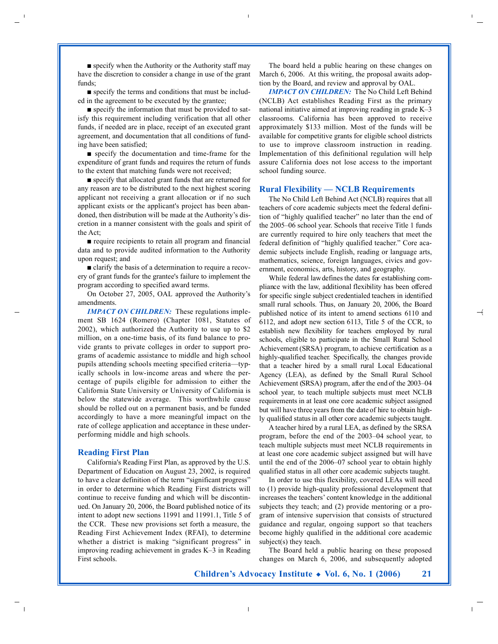■ specify when the Authority or the Authority staff may have the discretion to consider a change in use of the grant funds;

■ specify the terms and conditions that must be included in the agreement to be executed by the grantee;

■ specify the information that must be provided to satisfy this requirement including verification that all other funds, if needed are in place, receipt of an executed grant agreement, and documentation that all conditions of funding have been satisfied;

■ specify the documentation and time-frame for the expenditure of grant funds and requires the return of funds to the extent that matching funds were not received;

■ specify that allocated grant funds that are returned for any reason are to be distributed to the next highest scoring applicant not receiving a grant allocation or if no such applicant exists or the applicant's project has been abandoned, then distribution will be made at the Authority's discretion in a manner consistent with the goals and spirit of the Act;

■ require recipients to retain all program and financial data and to provide audited information to the Authority upon request; and

■ clarify the basis of a determination to require a recovery of grant funds for the grantee's failure to implement the program according to specified award terms.

On October 27, 2005, OAL approved the Authority's amendments.

*IMPACT ON CHILDREN:* These regulations implement SB 1624 (Romero) (Chapter 1081, Statutes of 2002), which authorized the Authority to use up to \$2 million, on a one-time basis, of its fund balance to provide grants to private colleges in order to support programs of academic assistance to middle and high school pupils attending schools meeting specified criteria—typically schools in low-income areas and where the percentage of pupils eligible for admission to either the California State University or University of California is below the statewide average. This worthwhile cause should be rolled out on a permanent basis, and be funded accordingly to have a more meaningful impact on the rate of college application and acceptance in these underperforming middle and high schools.

#### **Reading First Plan**

California's Reading First Plan, as approved by the U.S. Department of Education on August 23, 2002, is required to have a clear definition of the term "significant progress" in order to determine which Reading First districts will continue to receive funding and which will be discontinued. On January 20, 2006, the Board published notice of its intent to adopt new sections 11991 and 11991.1, Title 5 of the CCR. These new provisions set forth a measure, the Reading First Achievement Index (RFAI), to determine whether a district is making "significant progress" in improving reading achievement in grades K–3 in Reading First schools.

The board held a public hearing on these changes on March 6, 2006. At this writing, the proposal awaits adoption by the Board, and review and approval by OAL.

*IMPACT ON CHILDREN:* The No Child Left Behind (NCLB) Act establishes Reading First as the primary national initiative aimed at improving reading in grade K–3 classrooms. California has been approved to receive approximately \$133 million. Most of the funds will be available for competitive grants for eligible school districts to use to improve classroom instruction in reading. Implementation of this definitional regulation will help assure California does not lose access to the important school funding source.

#### **Rural Flexibility — NCLB Requirements**

The No Child Left Behind Act (NCLB) requires that all teachers of core academic subjects meet the federal definition of "highly qualified teacher" no later than the end of the 2005–06 school year. Schools that receive Title 1 funds are currently required to hire only teachers that meet the federal definition of "highly qualified teacher." Core academic subjects include English, reading or language arts, mathematics, science, foreign languages, civics and government, economics, arts, history, and geography.

While federal lawdefines the dates for establishing compliance with the law, additional flexibility has been offered for specific single subject credentialed teachers in identified small rural schools. Thus, on January 20, 2006, the Board published notice of its intent to amend sections 6110 and 6 112, and adopt new section 6113, Title 5 of the CCR, to establish new flexibility for teachers employed by rural schools, eligible to participate in the Small Rural School Achievement (SRSA) program, to achieve certification as a highly-qualified teacher. Specifically, the changes provide that a teacher hired by a small rural Local Educational Agency (LEA), as defined by the Small Rural School Achievement (SRSA) program, after the end of the 2003–04 school year, to teach multiple subjects must meet NCLB requirements in at least one core academic subject assigned but will have three years from the date of hire to obtain highly qualified status in all other core academic subjects taught.

A teacher hired by a rural LEA, as defined by the SRSA program, before the end of the 2003–04 school year, to teach multiple subjects must meet NCLB requirements in at least one core academic subject assigned but will have until the end of the 2006–07 school year to obtain highly qualified status in all other core academic subjects taught.

In order to use this flexibility, covered LEAs will need to (1) provide high-quality professional development that increases the teachers' content knowledge in the additional subjects they teach; and (2) provide mentoring or a program of intensive supervision that consists of structured guidance and regular, ongoing support so that teachers become highly qualified in the additional core academic subject(s) they teach.

The Board held a public hearing on these proposed changes on March 6, 2006, and subsequently adopted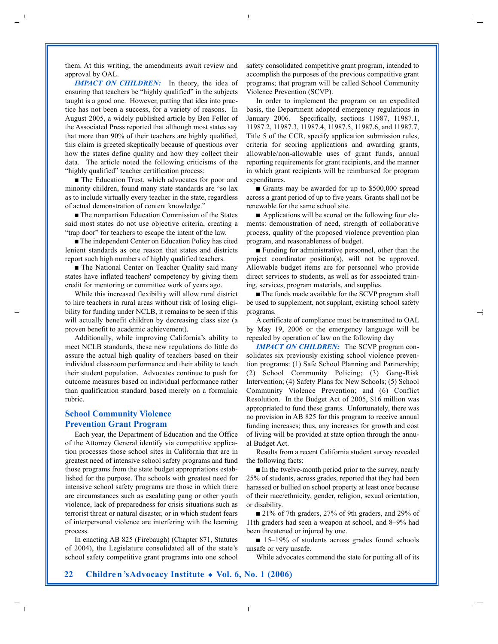them. At this writing, the amendments await review and approval by OAL.

*IMPACT ON CHILDREN:* In theory, the idea of ensuring that teachers be "highly qualified" in the subjects taught is a good one. However, putting that idea into practice has not been a success, for a variety of reasons. In August 2005, a widely published article by Ben Feller of the Associated Press reported that although most states say that more than 90% of their teachers are highly qualified, this claim is greeted skeptically because of questions over how the states define quality and how they collect their data. The article noted the following criticisms of the "highly qualified" teacher certification process:

■ The Education Trust, which advocates for poor and minority children, found many state standards are "so lax as to include virtually every teacher in the state, regardless of actual demonstration of content knowledge."

■ The nonpartisan Education Commission of the States said most states do not use objective criteria, creating a "trap door" for teachers to escape the intent of the law.

■ The independent Center on Education Policy has cited lenient standards as one reason that states and districts report such high numbers of highly qualified teachers.

■ The National Center on Teacher Quality said many states have inflated teachers' competency by giving them credit for mentoring or committee work of years ago.

While this increased flexibility will allow rural district to hire teachers in rural areas without risk of losing eligibility for funding under NCLB, it remains to be seen if this will actually benefit children by decreasing class size (a proven benefit to academic achievement).

Additionally, while improving California's ability to meet NCLB standards, these new regulations do little do assure the actual high quality of teachers based on their individual classroom performance and their ability to teach their student population. Advocates continue to push for outcome measures based on individual performance rather than qualification standard based merely on a formulaic rubric.

### **School Community Violence Prevention Grant Program**

Each year, the Department of Education and the Office of the Attorney General identify via competitive application processes those school sites in California that are in greatest need of intensive school safety programs and fund those programs from the state budget appropriations established for the purpose. The schools with greatest need for intensive school safety programs are those in which there are circumstances such as escalating gang or other youth violence, lack of preparedness for crisis situations such as terrorist threat or natural disaster, or in which student fears of interpersonal violence are interfering with the learning process.

In enacting AB 825 (Firebaugh) (Chapter 871, Statutes of 2004), the Legislature consolidated all of the state's school safety competitive grant programs into one school

safety consolidated competitive grant program, intended to accomplish the purposes of the previous competitive grant programs; that program will be called School Community Violence Prevention (SCVP).

In order to implement the program on an expedited basis, the Department adopted emergency regulations in January 2006. Specifically, sections 11987, 11987.1, 11987.2, 11987.3, 11987.4, 11987.5, 11987.6, and 11987.7, Title 5 of the CCR, specify application submission rules, criteria for scoring applications and awarding grants, allowable/non-allowable uses of grant funds, annual reporting requirements for grant recipients, and the manner in which grant recipients will be reimbursed for program expenditures.

■ Grants may be awarded for up to \$500,000 spread across a grant period of up to five years. Grants shall not be renewable for the same school site.

■ Applications will be scored on the following four elements: demonstration of need, strength of collaborative process, quality of the proposed violence prevention plan program, and reasonableness of budget.

■ Funding for administrative personnel, other than the project coordinator position(s), will not be approved. Allowable budget items are for personnel who provide direct services to students, as well as for associated training, services, program materials, and supplies.

■ The funds made available for the SCVP program shall be used to supplement, not supplant, existing school safety programs.

A certificate of compliance must be transmitted to OAL by May 19, 2006 or the emergency language will be repealed by operation of law on the following day

*IMPACT ON CHILDREN:* The SCVP program consolidates six previously existing school violence prevention programs: (1) Safe School Planning and Partnership; (2) School Community Policing; (3) Gang-Risk Intervention; (4) Safety Plans for New Schools; (5) School Community Violence Prevention; and (6) Conflict Resolution. In the Budget Act of 2005, \$16 million was appropriated to fund these grants. Unfortunately, there was no provision in AB 825 for this program to receive annual funding increases; thus, any increases for growth and cost of living will be provided at state option through the annual Budget Act.

Results from a recent California student survey revealed the following facts:

■ In the twelve-month period prior to the survey, nearly 25% of students, across grades, reported that they had been harassed or bullied on school property at least once because of their race/ethnicity, gender, religion, sexual orientation, or disability.

■ 21% of 7th graders, 27% of 9th graders, and 29% of 11th graders had seen a weapon at school, and 8–9% had been threatened or injured by one.

■ 15–19% of students across grades found schools unsafe or very unsafe.

While advocates commend the state for putting all of its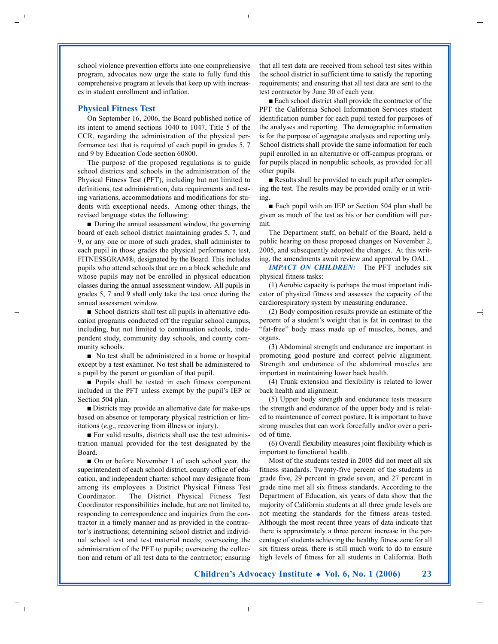school violence prevention efforts into one comprehensive program, advocates now urge the state to fully fund this comprehensive program at levels that keep up with increases in student enrollment and inflation.

#### **Physical Fitness Test**

On September 16, 2006, the Board published notice of its intent to amend sections 1040 to 1047, Title 5 of the CCR, regarding the administration of the physical performance test that is required of each pupil in grades 5, 7 and 9 by Education Code section 60800.

The purpose of the proposed regulations is to guide school districts and schools in the administration of the Physical Fitness Test (PFT), including but not limited to definitions, test administration, data requirements and testing variations, accommodations and modifications for students with exceptional needs. Among other things, the revised language states the following:

■ During the annual assessment window, the governing board of each school district maintaining grades 5, 7, and 9, or any one or more of such grades, shall administer to each pupil in those grades the physical performance test, FITNESSGRAM®, designated by the Board. This includes pupils who attend schools that are on a block schedule and whose pupils may not be enrolled in physical education classes during the annual assessment window. All pupils in grades 5, 7 and 9 shall only take the test once during the annual assessment window.

■ School districts shall test all pupils in alternative education programs conducted off the regular school campus, including, but not limited to continuation schools, independent study, community day schools, and county community schools.

■ No test shall be administered in a home or hospital except by a test examiner. No test shall be administered to a pupil by the parent or guardian of that pupil.

■ Pupils shall be tested in each fitness component included in the PFT unless exempt by the pupil's IEP or Section 504 plan.

■ Districts may provide an alternative date for make-ups based on absence or temporary physical restriction or limitations (*e.g*., recovering from illness or injury).

■ For valid results, districts shall use the test administration manual provided for the test designated by the Board.

■ On or before November 1 of each school year, the superintendent of each school district, county office of education, and independent charter school may designate from among its employees a District Physical Fitness Test Coordinator. The District Physical Fitness Test Coordinator responsibilities include, but are not limited to, responding to correspondence and inquiries from the contractor in a timely manner and as provided in the contractor's instructions; determining school district and individual school test and test material needs; overseeing the administration of the PFT to pupils; overseeing the collection and return of all test data to the contractor; ensuring that all test data are received from school test sites within the school district in sufficient time to satisfy the reporting requirements; and ensuring that all test data are sent to the test contractor by June 30 of each year.

■ Each school district shall provide the contractor of the PFT the California School Information Services student identification number for each pupil tested for purposes of the analyses and reporting. The demographic information is for the purpose of aggregate analyses and reporting only. School districts shall provide the same information for each pupil enrolled in an alternative or off-campus program, or for pupils placed in nonpublic schools, as provided for all other pupils.

■ Results shall be provided to each pupil after completing the test. The results may be provided orally or in writing.

■ Each pupil with an IEP or Section 504 plan shall be given as much of the test as his or her condition will permit.

The Department staff, on behalf of the Board, held a public hearing on these proposed changes on November 2, 2005, and subsequently adopted the changes. At this writing, the amendments await review and approval by OAL.

*IMPACT ON CHILDREN:* The PFT includes six physical fitness tasks:

(1) Aerobic capacity is perhaps the most important indicator of physical fitness and assesses the capacity of the cardiorespiratory system by measuring endurance.

(2) Body composition results provide an estimate of the percent of a student's weight that is fat in contrast to the "fat-free" body mass made up of muscles, bones, and organs.

(3) Abdominal strength and endurance are important in promoting good posture and correct pelvic alignment. Strength and endurance of the abdominal muscles are important in maintaining lower back health.

(4) Trunk extension and flexibility is related to lower back health and alignment.

(5) Upper body strength and endurance tests measure the strength and endurance of the upper body and is related to maintenance of correct posture. It is important to have strong muscles that can work forcefully and/or over a period of time.

(6) Overall flexibility measures joint flexibility which is important to functional health.

Most of the students tested in 2005 did not meet all six fitness standards. Twenty-five percent of the students in grade five, 29 percent in grade seven, and 27 percent in grade nine met all six fitness standards. According to the Department of Education, six years of data show that the majority of California students at all three grade levels are not meeting the standards for the fitness areas tested. Although the most recent three years of data indicate that there is approximately a three percent increase in the percentage of students achieving the healthy fitness zone for all six fitness areas, there is still much work to do to ensure high levels of fitness for all students in California. Both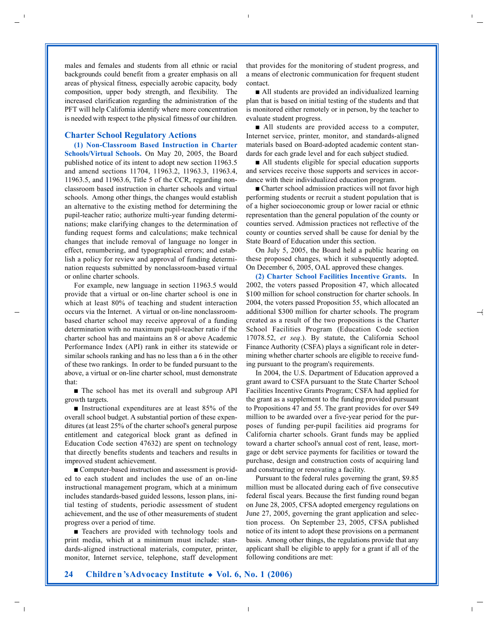males and females and students from all ethnic or racial backgrounds could benefit from a greater emphasis on all areas of physical fitness, especially aerobic capacity, body composition, upper body strength, and flexibility. The increased clarification regarding the administration of the PFT will help California identify where more concentration is needed with respect to the physical fitnessof our children.

#### **Charter School Regulatory Actions**

**(1) Non-Classroom Based Instruction in Charter Schools/Virtual Schools.** On May 20, 2005, the Board published notice of its intent to adopt new section 11963.5 and amend sections 11704, 11963.2, 11963.3, 11963.4, 11963.5, and 11963.6, Title 5 of the CCR, regarding nonclassroom based instruction in charter schools and virtual schools. Among other things, the changes would establish an alternative to the existing method for determining the pupil-teacher ratio; authorize multi-year funding determinations; make clarifying changes to the determination of funding request forms and calculations; make technical changes that include removal of language no longer in effect, renumbering, and typographical errors; and establish a policy for review and approval of funding determination requests submitted by nonclassroom-based virtual or online charter schools.

For example, new language in section 11963.5 would provide that a virtual or on-line charter school is one in which at least 80% of teaching and student interaction occurs via the Internet. A virtual or on-line nonclassroombased charter school may receive approval of a funding determination with no maximum pupil-teacher ratio if the charter school has and maintains an 8 or above Academic Performance Index (API) rank in either its statewide or similar schools ranking and has no less than a 6 in the other of these two rankings. In order to be funded pursuant to the above, a virtual or on-line charter school, must demonstrate that:

■ The school has met its overall and subgroup API growth targets.

■ Instructional expenditures are at least 85% of the overall school budget. A substantial portion of these expenditures (at least 25% of the charter school's general purpose entitlement and categorical block grant as defined in Education Code section 47632) are spent on technology that directly benefits students and teachers and results in improved student achievement.

■ Computer-based instruction and assessment is provided to each student and includes the use of an on-line instructional management program, which at a minimum includes standards-based guided lessons, lesson plans, initial testing of students, periodic assessment of student achievement, and the use of other measurements of student progress over a period of time.

■ Teachers are provided with technology tools and print media, which at a minimum must include: standards-aligned instructional materials, computer, printer, monitor, Internet service, telephone, staff development that provides for the monitoring of student progress, and a means of electronic communication for frequent student contact.

■ All students are provided an individualized learning plan that is based on initial testing of the students and that is monitored either remotely or in person, by the teacher to evaluate student progress.

■ All students are provided access to a computer, Internet service, printer, monitor, and standards-aligned materials based on Board-adopted academic content standards for each grade level and for each subject studied.

■ All students eligible for special education supports and services receive those supports and services in accordance with their individualized education program.

■ Charter school admission practices will not favor high performing students or recruit a student population that is of a higher socioeconomic group or lower racial or ethnic representation than the general population of the county or counties served. Admission practices not reflective of the county or counties served shall be cause for denial by the State Board of Education under this section.

On July 5, 2005, the Board held a public hearing on these proposed changes, which it subsequently adopted. On December 6, 2005, OAL approved these changes.

**(2) Charter School Facilities Incentive Grants.** In 2002, the voters passed Proposition 47, which allocated \$100 million for school construction for charter schools. In 2004, the voters passed Proposition 55, which allocated an additional \$300 million for charter schools. The program created as a result of the two propositions is the Charter School Facilities Program (Education Code section 17078.52, *et seq*.). By statute, the California School Finance Authority (CSFA) plays a significant role in determining whether charter schools are eligible to receive funding pursuant to the program's requirements.

In 2004, the U.S. Department of Education approved a grant award to CSFA pursuant to the State Charter School Facilities Incentive Grants Program; CSFA had applied for the grant as a supplement to the funding provided pursuant to Propositions 47 and 55. The grant provides for over \$49 million to be awarded over a five-year period for the purposes of funding per-pupil facilities aid programs for California charter schools. Grant funds may be applied toward a charter school's annual cost of rent, lease, mortgage or debt service payments for facilities or toward the purchase, design and construction costs of acquiring land and constructing or renovating a facility.

Pursuant to the federal rules governing the grant, \$9.85 million must be allocated during each of five consecutive federal fiscal years. Because the first funding round began on June 28, 2005, CFSA adopted emergency regulations on June 27, 2005, governing the grant application and selection process. On September 23, 2005, CFSA published notice of its intent to adopt these provisions on a permanent basis. Among other things, the regulations provide that any applicant shall be eligible to apply for a grant if all of the following conditions are met: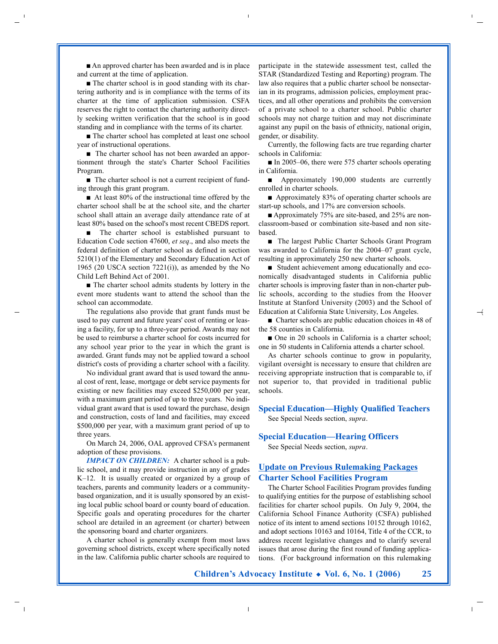■ An approved charter has been awarded and is in place and current at the time of application.

■ The charter school is in good standing with its chartering authority and is in compliance with the terms of its charter at the time of application submission. CSFA reserves the right to contact the chartering authority directly seeking written verification that the school is in good standing and in compliance with the terms of its charter.

■ The charter school has completed at least one school year of instructional operations.

■ The charter school has not been awarded an apportionment through the state's Charter School Facilities Program.

■ The charter school is not a current recipient of funding through this grant program.

■ At least 80% of the instructional time offered by the charter school shall be at the school site, and the charter school shall attain an average daily attendance rate of at least 80% based on the school's most recent CBEDS report.

■ The charter school is established pursuant to Education Code section 47600, *et seq*., and also meets the federal definition of charter school as defined in section 5210(1) of the Elementary and Secondary Education Act of 1965 (20 USCA section  $7221(i)$ ), as amended by the No Child Left Behind Act of 2001.

■ The charter school admits students by lottery in the event more students want to attend the school than the school can accommodate.

The regulations also provide that grant funds must be used to pay current and future years' cost of renting or leasing a facility, for up to a three-year period. Awards may not be used to reimburse a charter school for costs incurred for any school year prior to the year in which the grant is awarded. Grant funds may not be applied toward a school district's costs of providing a charter school with a facility.

No individual grant award that is used toward the annual cost of rent, lease, mortgage or debt service payments for existing or new facilities may exceed \$250,000 per year, with a maximum grant period of up to three years. No individual grant award that is used toward the purchase, design and construction, costs of land and facilities, may exceed \$500,000 per year, with a maximum grant period of up to three years.

On March 24, 2006, OAL approved CFSA's permanent adoption of these provisions.

*IMPACT ON CHILDREN:* A charter school is a public school, and it may provide instruction in any of grades K–12. It is usually created or organized by a group of teachers, parents and community leaders or a communitybased organization, and it is usually sponsored by an existing local public school board or county board of education. Specific goals and operating procedures for the charter school are detailed in an agreement (or charter) between the sponsoring board and charter organizers.

A charter school is generally exempt from most laws governing school districts, except where specifically noted in the law. California public charter schools are required to participate in the statewide assessment test, called the STAR (Standardized Testing and Reporting) program. The law also requires that a public charter school be nonsectarian in its programs, admission policies, employment practices, and all other operations and prohibits the conversion of a private school to a charter school. Public charter schools may not charge tuition and may not discriminate against any pupil on the basis of ethnicity, national origin, gender, or disability.

Currently, the following facts are true regarding charter schools in California:

■ In 2005–06, there were 575 charter schools operating in California.

■ Approximately 190,000 students are currently enrolled in charter schools.

■ Approximately 83% of operating charter schools are start-up schools, and 17% are conversion schools.

■ Approximately 75% are site-based, and 25% are nonclassroom-based or combination site-based and non sitebased.

■ The largest Public Charter Schools Grant Program was awarded to California for the 2004–07 grant cycle, resulting in approximately 250 new charter schools.

■ Student achievement among educationally and economically disadvantaged students in California public charter schools is improving faster than in non-charter public schools, according to the studies from the Hoover Institute at Stanford University (2003) and the School of Education at California State University, Los Angeles.

■ Charter schools are public education choices in 48 of the 58 counties in California.

■ One in 20 schools in California is a charter school: one in 50 students in California attends a charter school.

As charter schools continue to grow in popularity, vigilant oversight is necessary to ensure that children are receiving appropriate instruction that is comparable to, if not superior to, that provided in traditional public schools.

**Special Education—Highly Qualified Teachers** See Special Needs section, *supra*.

#### **Special Education—Hearing Officers**

See Special Needs section, *supra*.

#### **Update on Previous Rulemaking Packages Charter School Facilities Program**

The Charter School Facilities Program provides funding to qualifying entities for the purpose of establishing school facilities for charter school pupils. On July 9, 2004, the California School Finance Authority (CSFA) published notice of its intent to amend sections 10152 through 10162, and adopt sections 10163 and 10164, Title 4 of the CCR, to address recent legislative changes and to clarify several issues that arose during the first round of funding applications. (For background information on this rulemaking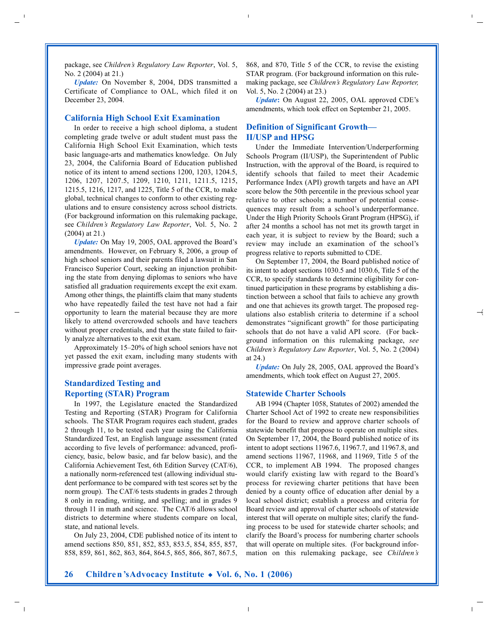package, see *Children's Regulatory Law Reporter*, Vol. 5, No. 2 (2004) at 21.)

*Update:* On November 8, 2004, DDS transmitted a Certificate of Compliance to OAL, which filed it on December 23, 2004.

#### **California High School Exit Examination**

In order to receive a high school diploma, a student completing grade twelve or adult student must pass the California High School Exit Examination, which tests basic language-arts and mathematics knowledge. On July 23, 2004, the California Board of Education published notice of its intent to amend sections 1200, 1203, 1204.5, 1206, 1207, 1207.5, 1209, 1210, 1211, 1211.5, 1215, 1215.5, 1216, 1217, and 1225, Title 5 of the CCR, to make global, technical changes to conform to other existing regulations and to ensure consistency across school districts. (For background information on this rulemaking package, see *Children's Regulatory Law Reporter*, Vol. 5, No. 2 (2004) at 21.)

*Update:* On May 19, 2005, OAL approved the Board's amendments. However, on February 8, 2006, a group of high school seniors and their parents filed a lawsuit in San Francisco Superior Court, seeking an injunction prohibiting the state from denying diplomas to seniors who have satisfied all graduation requirements except the exit exam. Among other things, the plaintiffs claim that many students who have repeatedly failed the test have not had a fair opportunity to learn the material because they are more likely to attend overcrowded schools and have teachers without proper credentials, and that the state failed to fairly analyze alternatives to the exit exam.

Approximately 15–20% of high school seniors have not yet passed the exit exam, including many students with impressive grade point averages.

#### **Standardized Testing and Reporting (STAR) Program**

In 1997, the Legislature enacted the Standardized Testing and Reporting (STAR) Program for California schools. The STAR Program requires each student, grades 2 through 11, to be tested each year using the California Standardized Test, an English language assessment (rated according to five levels of performance: advanced, proficiency, basic, below basic, and far below basic), and the California Achievement Test, 6th Edition Survey (CAT/6), a nationally norm-referenced test (allowing individual student performance to be compared with test scores set by the norm group). The CAT/6 tests students in grades 2 through 8 only in reading, writing, and spelling; and in grades 9 through 11 in math and science. The CAT/6 allows school districts to determine where students compare on local, state, and national levels.

On July 23, 2004, CDE published notice of its intent to amend sections 850, 851, 852, 853, 853.5, 854, 855, 857, 858, 859, 861, 862, 863, 864, 864.5, 865, 866, 867, 867.5, 868, and 870, Title 5 of the CCR, to revise the existing STAR program. (For background information on this rulemaking package, see *Children's Regulatory Law Reporter,* Vol. 5, No. 2 (2004) at 23.)

*Update***:** On August 22, 2005, OAL approved CDE's amendments, which took effect on September 21, 2005.

#### **Definition of Significant Growth— II/USP and HPSG**

Under the Immediate Intervention/Underperforming Schools Program (II/USP), the Superintendent of Public Instruction, with the approval of the Board, is required to identify schools that failed to meet their Academic Performance Index (API) growth targets and have an API score below the 50th percentile in the previous school year relative to other schools; a number of potential consequences may result from a school's underperformance. Under the High Priority Schools Grant Program (HPSG), if after 24 months a school has not met its growth target in each year, it is subject to review by the Board; such a review may include an examination of the school's progress relative to reports submitted to CDE.

On September 17, 2004, the Board published notice of its intent to adopt sections 1030.5 and 1030.6, Title 5 of the CCR, to specify standards to determine eligibility for continued participation in these programs by establishing a distinction between a school that fails to achieve any growth and one that achieves its growth target. The proposed regulations also establish criteria to determine if a school demonstrates "significant growth" for those participating schools that do not have a valid API score. (For background information on this rulemaking package, see *Children's Regulatory Law Reporter*, Vol. 5, No. 2 (2004) at 24.)

*Update:* On July 28, 2005, OAL approved the Board's amendments, which took effect on August 27, 2005.

#### **Statewide Charter Schools**

AB 1994 (Chapter 1058, Statutes of 2002) amended the Charter School Act of 1992 to create new responsibilities for the Board to review and approve charter schools of statewide benefit that propose to operate on multiple sites. On September 17, 2004, the Board published notice of its intent to adopt sections 11967.6, 11967.7, and 11967.8, and amend sections 11967, 11968, and 11969, Title 5 of the CCR, to implement AB 1994. The proposed changes would clarify existing law with regard to the Board's process for reviewing charter petitions that have been denied by a county office of education after denial by a local school district; establish a process and criteria for Board review and approval of charter schools of statewide interest that will operate on multiple sites; clarify the funding process to be used for statewide charter schools; and clarify the Board's process for numbering charter schools that will operate on multiple sites. (For background information on this rulemaking package, see *Children's*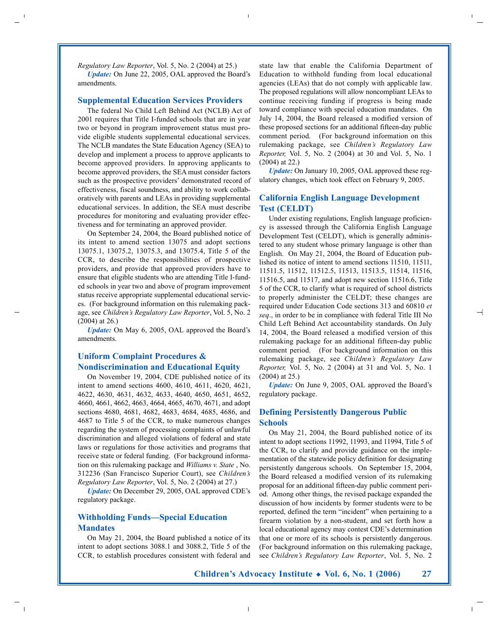*Regulatory Law Reporter*, Vol. 5, No. 2 (2004) at 25.)

*Update:* On June 22, 2005, OAL approved the Board's amendments.

#### **Supplemental Education Services Providers**

The federal No Child Left Behind Act (NCLB) Act of 2001 requires that Title I-funded schools that are in year two or beyond in program improvement status must provide eligible students supplemental educational services. The NCLB mandates the State Education Agency (SEA) to develop and implement a process to approve applicants to become approved providers. In approving applicants to become approved providers, the SEA must consider factors such as the prospective providers' demonstrated record of effectiveness, fiscal soundness, and ability to work collaboratively with parents and LEAs in providing supplemental educational services. In addition, the SEA must describe procedures for monitoring and evaluating provider effectiveness and for terminating an approved provider.

On September 24, 2004, the Board published notice of its intent to amend section 13075 and adopt sections 13075.1, 13075.2, 13075.3, and 13075.4, Title 5 of the CCR, to describe the responsibilities of prospective providers, and provide that approved providers have to ensure that eligible students who are attending Title I-funded schools in year two and above of program improvement status receive appropriate supplemental educational services. (For background information on this rulemaking package, see *Children's Regulatory Law Reporter*, Vol. 5, No. 2 (2004) at 26.)

*Update:* On May 6, 2005, OAL approved the Board's amendments.

### **Uniform Complaint Procedures & Nondiscrimination and Educational Equity**

On November 19, 2004, CDE published notice of its intent to amend sections 4600, 4610, 4611, 4620, 4621, 4622, 4630, 4631, 4632, 4633, 4640, 4650, 4651, 4652, 4660, 4661, 4662, 4663, 4664, 4665, 4670, 4671, and adopt sections 4680, 4681, 4682, 4683, 4684, 4685, 4686, and 4687 to Title 5 of the CCR, to make numerous changes regarding the system of processing complaints of unlawful discrimination and alleged violations of federal and state laws or regulations for those activities and programs that receive state or federal funding. (For background information on this rulemaking package and *Williams v. State* , No. 312236 (San Francisco Superior Court), see *Children's Regulatory Law Reporter*, Vol. 5, No. 2 (2004) at 27.)

*Update:* On December 29, 2005, OAL approved CDE's regulatory package.

### **Withholding Funds—Special Education Mandates**

On May 21, 2004, the Board published a notice of its intent to adopt sections 3088.1 and 3088.2, Title 5 of the CCR, to establish procedures consistent with federal and state law that enable the California Department of Education to withhold funding from local educational agencies (LEAs) that do not comply with applicable law. The proposed regulations will allow noncompliant LEAs to continue receiving funding if progress is being made toward compliance with special education mandates. On July 14, 2004, the Board released a modified version of these proposed sections for an additional fifteen-day public comment period. (For background information on this rulemaking package, see *Children's Regulatory Law Reporter,* Vol. 5, No. 2 (2004) at 30 and Vol. 5, No. 1 (2004) at 22.)

*Update:* On January 10, 2005, OAL approved these regulatory changes, which took effect on February 9, 2005.

#### **California English Language Development Test (CELDT)**

Under existing regulations, English language proficiency is assessed through the California English Language Development Test (CELDT), which is generally administered to any student whose primary language is other than English. On May 21, 2004, the Board of Education published its notice of intent to amend sections 11510, 11511, 11511.5, 11512, 11512.5, 11513, 11513.5, 11514, 11516, 11516.5, and 11517, and adopt new section 11516.6, Title 5 of the CCR, to clarify what is required of school districts to properly administer the CELDT; these changes are required under Education Code sections 313 and 60810 *et seq*., in order to be in compliance with federal Title III No Child Left Behind Act accountability standards. On July 14, 2004, the Board released a modified version of this rulemaking package for an additional fifteen-day public comment period. (For background information on this rulemaking package, see *Children's Regulatory Law Reporter,* Vol. 5, No. 2 (2004) at 31 and Vol. 5, No. 1 (2004) at 25.)

*Update:* On June 9, 2005, OAL approved the Board's regulatory package.

#### **Defining Persistently Dangerous Public Schools**

On May 21, 2004, the Board published notice of its intent to adopt sections 11992, 11993, and 11994, Title 5 of the CCR, to clarify and provide guidance on the implementation of the statewide policy definition for designating persistently dangerous schools. On September 15, 2004, the Board released a modified version of its rulemaking proposal for an additional fifteen-day public comment period. Among other things, the revised package expanded the discussion of how incidents by former students were to be reported, defined the term "incident" when pertaining to a firearm violation by a non-student, and set forth how a local educational agency may contest CDE's determination that one or more of its schools is persistently dangerous. (For background information on this rulemaking package, see *Children's Regulatory Law Reporter*, Vol. 5, No. 2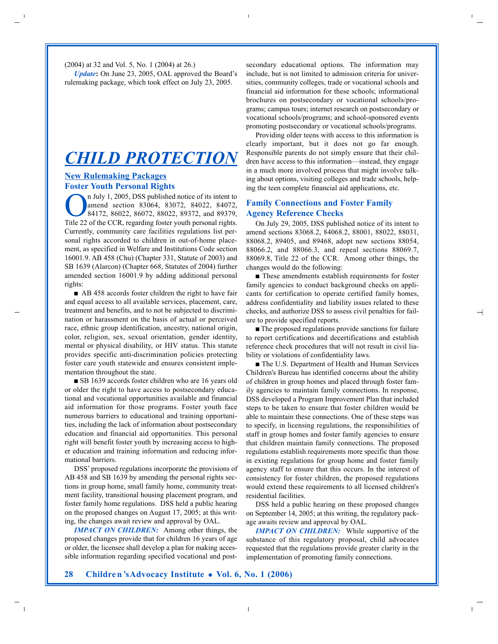(2004) at 32 and Vol. 5, No. 1 (2004) at 26.)

*Update***:** On June 23, 2005, OAL approved the Board's rulemaking package, which took effect on July 23, 2005.

## *CHILD PROTECTION*

#### **New Rulemaking Packages Foster Youth Personal Rights**

n July 1, 2005, DSS published notice of its intent to amend section 83064, 83072, 84022, 84072, 84172, 86022, 86072, 88022, 89372, and 89379, Title 22 of the CCR, regarding foster youth personal rights. Currently, community care facilities regulations list personal rights accorded to children in out-of-home placement, as specified in Welfare and Institutions Code section 16001.9. AB 458 (Chu) (Chapter 331, Statute of 2003) and SB 1639 (Alarcon) (Chapter 668, Statutes of 2004) further amended section 16001.9 by adding additional personal rights:

■ AB 458 accords foster children the right to have fair and equal access to all available services, placement, care, treatment and benefits, and to not be subjected to discrimination or harassment on the basis of actual or perceived race, ethnic group identification, ancestry, national origin, color, religion, sex, sexual orientation, gender identity, mental or physical disability, or HIV status. This statute provides specific anti-discrimination policies protecting foster care youth statewide and ensures consistent implementation throughout the state.

■ SB 1639 accords foster children who are 16 years old or older the right to have access to postsecondary educational and vocational opportunities available and financial aid information for those programs. Foster youth face numerous barriers to educational and training opportunities, including the lack of information about postsecondary education and financial aid opportunities. This personal right will benefit foster youth by increasing access to higher education and training information and reducing informational barriers.

DSS' proposed regulations incorporate the provisions of AB 458 and SB 1639 by amending the personal rights sections in group home, small family home, community treatment facility, transitional housing placement program, and foster family home regulations. DSS held a public hearing on the proposed changes on August 17, 2005; at this writing, the changes await review and approval by OAL.

*IMPACT ON CHILDREN:* Among other things, the proposed changes provide that for children 16 years of age or older, the licensee shall develop a plan for making accessible information regarding specified vocational and postsecondary educational options. The information may include, but is not limited to admission criteria for universities, community colleges, trade or vocational schools and financial aid information for these schools; informational brochures on postsecondary or vocational schools/programs; campus tours; internet research on postsecondary or vocational schools/programs; and school-sponsored events promoting postsecondary or vocational schools/programs.

Providing older teens with access to this information is clearly important, but it does not go far enough. Responsible parents do not simply ensure that their children have access to this information—instead, they engage in a much more involved process that might involve talking about options, visiting colleges and trade schools, helping the teen complete financial aid applications, etc.

### **Family Connections and Foster Family Agency Reference Checks**

On July 29, 2005, DSS published notice of its intent to amend sections 83068.2, 84068.2, 88001, 88022, 88031, 88068.2, 89405, and 89468, adopt new sections 88054, 88066.2, and 88066.3, and repeal sections 88069.7, 88069.8, Title 22 of the CCR. Among other things, the changes would do the following:

■ These amendments establish requirements for foster family agencies to conduct background checks on applicants for certification to operate certified family homes, address confidentiality and liability issues related to these checks, and authorize DSS to assess civil penalties for failure to provide specified reports.

■ The proposed regulations provide sanctions for failure to report certifications and decertifications and establish reference check procedures that will not result in civil liability or violations of confidentiality laws.

■ The U.S. Department of Health and Human Services Children's Bureau has identified concerns about the ability of children in group homes and placed through foster family agencies to maintain family connections. In response, DSS developed a Program Improvement Plan that included steps to be taken to ensure that foster children would be able to maintain these connections. One of these steps was to specify, in licensing regulations, the responsibilities of staff in group homes and foster family agencies to ensure that children maintain family connections. The proposed regulations establish requirements more specific than those in existing regulations for group home and foster family agency staff to ensure that this occurs. In the interest of consistency for foster children, the proposed regulations would extend these requirements to all licensed children's residential facilities.

DSS held a public hearing on these proposed changes on September 14, 2005; at this writing, the regulatory package awaits review and approval by OAL.

*IMPACT ON CHILDREN:* While supportive of the substance of this regulatory proposal, child advocates requested that the regulations provide greater clarity in the implementation of promoting family connections.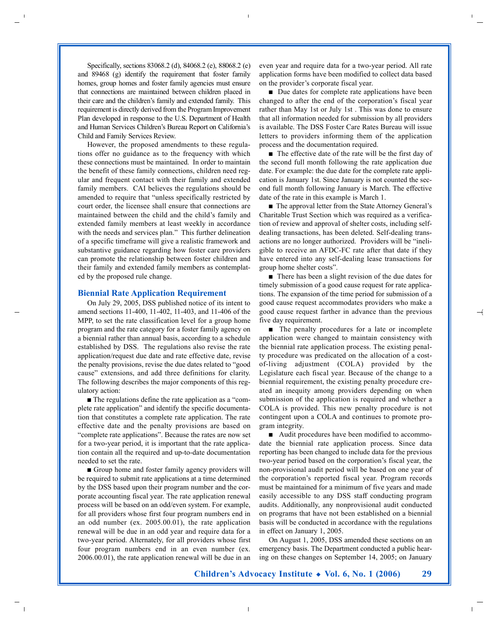Specifically, sections 83068.2 (d), 84068.2 (e), 88068.2 (e) and 89468 (g) identify the requirement that foster family homes, group homes and foster family agencies must ensure that connections are maintained between children placed in their care and the children's family and extended family. This requirement is directly derived from the Program Improvement Plan developed in response to the U.S. Department of Health and Human Services Children's Bureau Report on California's Child and Family Services Review.

However, the proposed amendments to these regulations offer no guidance as to the frequency with which these connections must be maintained. In order to maintain the benefit of these family connections, children need regular and frequent contact with their family and extended family members. CAI believes the regulations should be amended to require that "unless specifically restricted by court order, the licensee shall ensure that connections are maintained between the child and the child's family and extended family members at least weekly in accordance with the needs and services plan." This further delineation of a specific timeframe will give a realistic framework and substantive guidance regarding how foster care providers can promote the relationship between foster children and their family and extended family members as contemplated by the proposed rule change.

#### **Biennial Rate Application Requirement**

On July 29, 2005, DSS published notice of its intent to amend sections 11-400, 11-402, 11-403, and 11-406 of the MPP, to set the rate classification level for a group home program and the rate category for a foster family agency on a biennial rather than annual basis, according to a schedule established by DSS. The regulations also revise the rate application/request due date and rate effective date, revise the penalty provisions, revise the due dates related to "good cause" extensions, and add three definitions for clarity. The following describes the major components of this regulatory action:

■ The regulations define the rate application as a "complete rate application" and identify the specific documentation that constitutes a complete rate application. The rate effective date and the penalty provisions are based on "complete rate applications". Because the rates are now set for a two-year period, it is important that the rate application contain all the required and up-to-date documentation needed to set the rate.

■ Group home and foster family agency providers will be required to submit rate applications at a time determined by the DSS based upon their program number and the corporate accounting fiscal year. The rate application renewal process will be based on an odd/even system. For example, for all providers whose first four program numbers end in an odd number (ex. 2005.00.01), the rate application renewal will be due in an odd year and require data for a two-year period. Alternately, for all providers whose first four program numbers end in an even number (ex. 2006.00.01), the rate application renewal will be due in an even year and require data for a two-year period. All rate application forms have been modified to collect data based on the provider's corporate fiscal year.

■ Due dates for complete rate applications have been changed to after the end of the corporation's fiscal year rather than May 1st or July 1st . This was done to ensure that all information needed for submission by all providers is available. The DSS Foster Care Rates Bureau will issue letters to providers informing them of the application process and the documentation required.

■ The effective date of the rate will be the first day of the second full month following the rate application due date. For example: the due date for the complete rate application is January 1st. Since January is not counted the second full month following January is March. The effective date of the rate in this example is March 1.

■ The approval letter from the State Attorney General's Charitable Trust Section which was required as a verification of review and approval of shelter costs, including selfdealing transactions, has been deleted. Self-dealing transactions are no longer authorized. Providers will be "ineligible to receive an AFDC-FC rate after that date if they have entered into any self-dealing lease transactions for group home shelter costs".

■ There has been a slight revision of the due dates for timely submission of a good cause request for rate applications. The expansion of the time period for submission of a good cause request accommodates providers who make a good cause request farther in advance than the previous five day requirement.

■ The penalty procedures for a late or incomplete application were changed to maintain consistency with the biennial rate application process. The existing penalty procedure was predicated on the allocation of a costof-living adjustment (COLA) provided by the Legislature each fiscal year. Because of the change to a biennial requirement, the existing penalty procedure created an inequity among providers depending on when submission of the application is required and whether a COLA is provided. This new penalty procedure is not contingent upon a COLA and continues to promote program integrity.

■ Audit procedures have been modified to accommodate the biennial rate application process. Since data reporting has been changed to include data for the previous two-year period based on the corporation's fiscal year, the non-provisional audit period will be based on one year of the corporation's reported fiscal year. Program records must be maintained for a minimum of five years and made easily accessible to any DSS staff conducting program audits. Additionally, any nonprovisional audit conducted on programs that have not been established on a biennial basis will be conducted in accordance with the regulations in effect on January 1, 2005.

On August 1, 2005, DSS amended these sections on an emergency basis. The Department conducted a public hearing on these changes on September 14, 2005; on January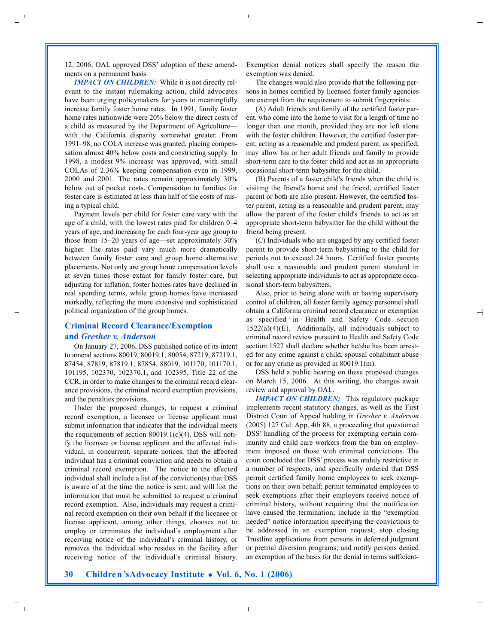12, 2006, OAL approved DSS' adoption of these amendments on a permanent basis.

*IMPACT ON CHILDREN:* While it is not directly relevant to the instant rulemaking action, child advocates have been urging policymakers for years to meaningfully increase family foster home rates. In 1991, family foster home rates nationwide were 20% below the direct costs of a child as measured by the Department of Agriculture with the California disparity somewhat greater. From 1991–98, no COLA increase was granted, placing compensation almost 40% below costs and constricting supply. In 1998, a modest 9% increase was approved, with small COLAs of 2.36% keeping compensation even in 1999, 2000 and 2001. The rates remain approximately 30% below out of pocket costs. Compensation to families for foster care is estimated at less than half of the costs of raising a typical child.

Payment levels per child for foster care vary with the age of a child, with the lowest rates paid for children 0–4 years of age, and increasing for each four-year age group to those from 15–20 years of age—set approximately 30% higher. The rates paid vary much more dramatically between family foster care and group home alternative placements. Not only are group home compensation levels at seven times those extant for family foster care, but adjusting for inflation, foster homes rates have declined in real spending terms, while group homes have increased markedly, reflecting the more extensive and sophisticated political organization of the group homes.

#### **Criminal Record Clearance/Exemption and** *Gresher v. Anderson*

On January 27, 2006, DSS published notice of its intent to amend sections 80019, 80019.1, 80054, 87219, 87219.1, 87454, 87819, 87819.1, 87854, 88019, 101170, 101170.1, 101195, 102370, 102370.1, and 102395, Title 22 of the CCR, in order to make changes to the criminal record clearance provisions, the criminal record exemption provisions, and the penalties provisions.

Under the proposed changes, to request a criminal record exemption, a licensee or license applicant must submit information that indicates that the individual meets the requirements of section 80019.1(c)(4). DSS will notify the licensee or license applicant and the affected individual, in concurrent, separate notices, that the affected individual has a criminal conviction and needs to obtain a criminal record exemption. The notice to the affected individual shall include a list of the conviction(s) that DSS is aware of at the time the notice is sent, and will list the information that must be submitted to request a criminal record exemption. Also, individuals may request a criminal record exemption on their own behalf if the licensee or license applicant, among other things, chooses not to employ or terminates the individual's employment after receiving notice of the individual's criminal history, or removes the individual who resides in the facility after receiving notice of the individual's criminal history.

Exemption denial notices shall specify the reason the exemption was denied.

The changes would also provide that the following persons in homes certified by licensed foster family agencies are exempt from the requirement to submit fingerprints:

(A) Adult friends and family of the certified foster parent, who come into the home to visit for a length of time no longer than one month, provided they are not left alone with the foster children. However, the certified foster parent, acting as a reasonable and prudent parent, as specified, may allow his or her adult friends and family to provide short-term care to the foster child and act as an appropriate occasional short-term babysitter for the child.

(B) Parents of a foster child's friends when the child is visiting the friend's home and the friend, certified foster parent or both are also present. However, the certified foster parent, acting as a reasonable and prudent parent, may allow the parent of the foster child's friends to act as an appropriate short-term babysitter for the child without the friend being present.

(C) Individuals who are engaged by any certified foster parent to provide short-term babysitting to the child for periods not to exceed 24 hours. Certified foster parents shall use a reasonable and prudent parent standard in selecting appropriate individuals to act as appropriate occasional short-term babysitters.

Also, prior to being alone with or having supervisory control of children, all foster family agency personnel shall obtain a California criminal record clearance or exemption as specified in Health and Safety Code section  $1522(a)(4)(E)$ . Additionally, all individuals subject to criminal record review pursuant to Health and Safety Code section 1522 shall declare whether he/she has been arrested for any crime against a child, spousal cohabitant abuse or for any crime as provided in 80019.1(m).

DSS held a public hearing on these proposed changes on March 15, 2006. At this writing, the changes await review and approval by OAL.

*IMPACT ON CHILDREN:* This regulatory package implements recent statutory changes, as well as the First District Court of Appeal holding in *Gresher v. Anderson* (2005) 127 Cal. App. 4th 88, a proceeding that questioned DSS' handling of the process for exempting certain community and child care workers from the ban on employment imposed on those with criminal convictions. The court concluded that DSS' process was unduly restrictive in a number of respects, and specifically ordered that DSS permit certified family home employees to seek exemptions on their own behalf; permit terminated employees to seek exemptions after their employers receive notice of criminal history, without requiring that the notification have caused the termination; include in the "exemption needed" notice information specifying the convictions to be addressed in an exemption request; stop closing Trustline applications from persons in deferred judgment or pretrial diversion programs; and notify persons denied an exemption of the basis for the denial in terms sufficient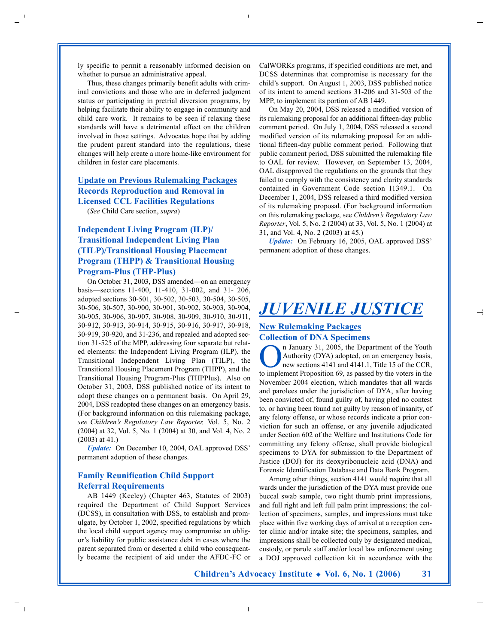ly specific to permit a reasonably informed decision on whether to pursue an administrative appeal.

Thus, these changes primarily benefit adults with criminal convictions and those who are in deferred judgment status or participating in pretrial diversion programs, by helping facilitate their ability to engage in community and child care work. It remains to be seen if relaxing these standards will have a detrimental effect on the children involved in those settings. Advocates hope that by adding the prudent parent standard into the regulations, these changes will help create a more home-like environment for children in foster care placements.

#### **Update on Previous Rulemaking Packages Records Reproduction and Removal in Licensed CCL Facilities Regulations**

(*See* Child Care section, *supra*)

## **Independent Living Program (ILP)/ Transitional Independent Living Plan (TILP)/Transitional Housing Placement Program (THPP) & Transitional Housing Program-Plus (THP-Plus)**

On October 31, 2003, DSS amended—on an emergency basis—sections 11-400, 11-410, 31-002, and 31- 206, adopted sections 30-501, 30-502, 30-503, 30-504, 30-505, 30-506, 30-507, 30-900, 30-901, 30-902, 30-903, 30-904, 30-905, 30-906, 30-907, 30-908, 30-909, 30-910, 30-911, 30-912, 30-913, 30-914, 30-915, 30-916, 30-917, 30-918, 30-919, 30-920, and 31-236, and repealed and adopted section 31-525 of the MPP, addressing four separate but related elements: the Independent Living Program (ILP), the Transitional Independent Living Plan (TILP), the Transitional Housing Placement Program (THPP), and the Transitional Housing Program-Plus (THPPlus). Also on October 31, 2003, DSS published notice of its intent to adopt these changes on a permanent basis. On April 29, 2004, DSS readopted these changes on an emergency basis. (For background information on this rulemaking package, *see Children's Regulatory Law Reporter,* Vol. 5, No. 2 (2004) at 32, Vol. 5, No. 1 (2004) at 30, and Vol. 4, No. 2 (2003) at 41.)

*Update:* On December 10, 2004, OAL approved DSS' permanent adoption of these changes.

### **Family Reunification Child Support Referral Requirements**

AB 1449 (Keeley) (Chapter 463, Statutes of 2003) required the Department of Child Support Services (DCSS), in consultation with DSS, to establish and promulgate, by October 1, 2002, specified regulations by which the local child support agency may compromise an obligor's liability for public assistance debt in cases where the parent separated from or deserted a child who consequently became the recipient of aid under the AFDC-FC or CalWORKs programs, if specified conditions are met, and DCSS determines that compromise is necessary for the child's support. On August 1, 2003, DSS published notice of its intent to amend sections 31-206 and 31-503 of the MPP, to implement its portion of AB 1449.

On May 20, 2004, DSS released a modified version of its rulemaking proposal for an additional fifteen-day public comment period. On July 1, 2004, DSS released a second modified version of its rulemaking proposal for an additional fifteen-day public comment period. Following that public comment period, DSS submitted the rulemaking file to OAL for review. However, on September 13, 2004, OAL disapproved the regulations on the grounds that they failed to comply with the consistency and clarity standards contained in Government Code section 11349.1. On December 1, 2004, DSS released a third modified version of its rulemaking proposal. (For background information on this rulemaking package, see *Children's Regulatory Law Reporter*, Vol. 5, No. 2 (2004) at 33, Vol. 5, No. 1 (2004) at 31, and Vol. 4, No. 2 (2003) at 45.)

*Update:* On February 16, 2005, OAL approved DSS' permanent adoption of these changes.

## *JUVENILE JUSTICE*

#### **New Rulemaking Packages Collection of DNA Specimens**

**On January 31, 2005, the Department of the Youth**<br>Authority (DYA) adopted, on an emergency basis,<br>new sections 4141 and 4141.1, Title 15 of the CCR,<br>to implement proposition of a gauge and be vertex in the sector Authority (DYA) adopted, on an emergency basis, new sections 4141 and 4141.1, Title 15 of the CCR, to implement Proposition 69, as passed by the voters in the November 2004 election, which mandates that all wards and parolees under the jurisdiction of DYA, after having been convicted of, found guilty of, having pled no contest to, or having been found not guilty by reason of insanity, of any felony offense, or whose records indicate a prior conviction for such an offense, or any juvenile adjudicated under Section 602 of the Welfare and Institutions Code for committing any felony offense, shall provide biological specimens to DYA for submission to the Department of Justice (DOJ) for its deoxyribonucleic acid (DNA) and Forensic Identification Database and Data Bank Program.

Among other things, section 4141 would require that all wards under the jurisdiction of the DYA must provide one buccal swab sample, two right thumb print impressions, and full right and left full palm print impressions; the collection of specimens, samples, and impressions must take place within five working days of arrival at a reception center clinic and/or intake site; the specimens, samples, and impressions shall be collected only by designated medical, custody, or parole staff and/or local law enforcement using a DOJ approved collection kit in accordance with the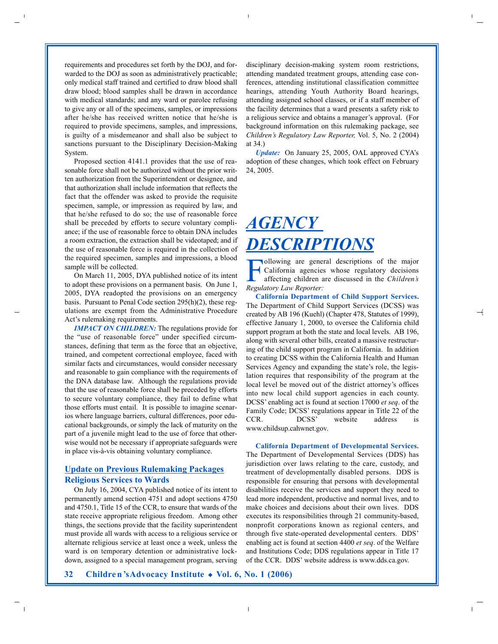requirements and procedures set forth by the DOJ, and forwarded to the DOJ as soon as administratively practicable; only medical staff trained and certified to draw blood shall draw blood; blood samples shall be drawn in accordance with medical standards; and any ward or parolee refusing to give any or all of the specimens, samples, or impressions after he/she has received written notice that he/she is required to provide specimens, samples, and impressions, is guilty of a misdemeanor and shall also be subject to sanctions pursuant to the Disciplinary Decision-Making System.

Proposed section 4141.1 provides that the use of reasonable force shall not be authorized without the prior written authorization from the Superintendent or designee, and that authorization shall include information that reflects the fact that the offender was asked to provide the requisite specimen, sample, or impression as required by law, and that he/she refused to do so; the use of reasonable force shall be preceded by efforts to secure voluntary compliance; if the use of reasonable force to obtain DNA includes a room extraction, the extraction shall be videotaped; and if the use of reasonable force is required in the collection of the required specimen, samples and impressions, a blood sample will be collected.

On March 11, 2005, DYA published notice of its intent to adopt these provisions on a permanent basis. On June 1, 2005, DYA readopted the provisions on an emergency basis. Pursuant to Penal Code section 295(h)(2), these regulations are exempt from the Administrative Procedure Act's rulemaking requirements.

*IMPACT ON CHILDREN:* The regulations provide for the "use of reasonable force" under specified circumstances, defining that term as the force that an objective, trained, and competent correctional employee, faced with similar facts and circumstances, would consider necessary and reasonable to gain compliance with the requirements of the DNA database law. Although the regulations provide that the use of reasonable force shall be preceded by efforts to secure voluntary compliance, they fail to define what those efforts must entail. It is possible to imagine scenarios where language barriers, cultural differences, poor educational backgrounds, or simply the lack of maturity on the part of a juvenile might lead to the use of force that otherwise would not be necessary if appropriate safeguards were in place vis-à-vis obtaining voluntary compliance.

#### **Update on Previous Rulemaking Packages Religious Services to Wards**

On July 16, 2004, CYA published notice of its intent to permanently amend section 4751 and adopt sections 4750 and 4750.1, Title 15 of the CCR, to ensure that wards of the state receive appropriate religious freedom. Among other things, the sections provide that the facility superintendent must provide all wards with access to a religious service or alternate religious service at least once a week, unless the ward is on temporary detention or administrative lockdown, assigned to a special management program, serving disciplinary decision-making system room restrictions, attending mandated treatment groups, attending case conferences, attending institutional classification committee hearings, attending Youth Authority Board hearings, attending assigned school classes, or if a staff member of the facility determines that a ward presents a safety risk to a religious service and obtains a manager's approval. (For background information on this rulemaking package, see *Children's Regulatory Law Reporter,* Vol. 5, No. 2 (2004) at 34.)

*Update:* On January 25, 2005, OAL approved CYA's adoption of these changes, which took effect on February 24, 2005.

# *AGENCY DESCRIPTIONS*

Following are general descriptions of the major<br>California agencies whose regulatory decisions<br>affecting children are discussed in the *Children's*<br>Regulatory Languatory California agencies whose regulatory decisions affecting children are discussed in the *Children's Regulatory Law Reporter:* 

**California Department of Child Support Services.** The Department of Child Support Services (DCSS) was created by AB 196 (Kuehl) (Chapter 478, Statutes of 1999), effective January 1, 2000, to oversee the California child support program at both the state and local levels. AB 196, along with several other bills, created a massive restructuring of the child support program in California. In addition to creating DCSS within the California Health and Human Services Agency and expanding the state's role, the legislation requires that responsibility of the program at the local level be moved out of the district attorney's offices into new local child support agencies in each county. DCSS' enabling act is found at section 17000 *et seq*. of the Family Code; DCSS' regulations appear in Title 22 of the CCR. DCSS' website address is www.childsup.cahwnet.gov.

**California Department of Developmental Services.** The Department of Developmental Services (DDS) has jurisdiction over laws relating to the care, custody, and treatment of developmentally disabled persons. DDS is responsible for ensuring that persons with developmental disabilities receive the services and support they need to lead more independent, productive and normal lives, and to make choices and decisions about their own lives. DDS executes its responsibilities through 21 community-based, nonprofit corporations known as regional centers, and through five state-operated developmental centers. DDS' enabling act is found at section 4400 *et seq*. of the Welfare and Institutions Code; DDS regulations appear in Title 17 of the CCR. DDS' website address is www.dds.ca.gov.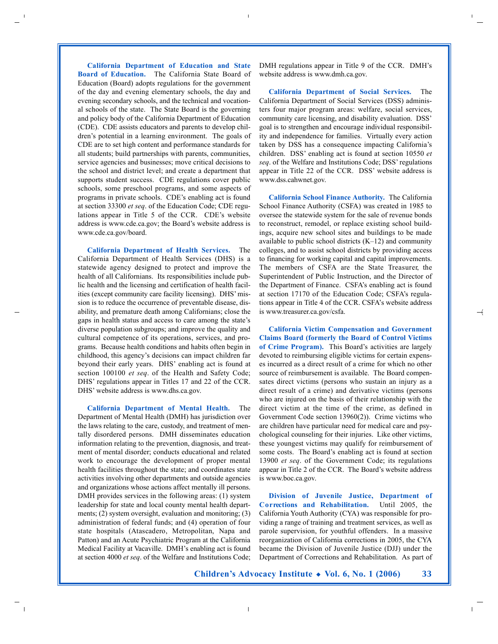**California Department of Education and State Board of Education.** The California State Board of Education (Board) adopts regulations for the government of the day and evening elementary schools, the day and evening secondary schools, and the technical and vocational schools of the state. The State Board is the governing and policy body of the California Department of Education (CDE). CDE assists educators and parents to develop children's potential in a learning environment. The goals of CDE are to set high content and performance standards for all students; build partnerships with parents, communities, service agencies and businesses; move critical decisions to the school and district level; and create a department that supports student success. CDE regulations cover public schools, some preschool programs, and some aspects of programs in private schools. CDE's enabling act is found at section 33300 *et seq*. of the Education Code; CDE regulations appear in Title 5 of the CCR. CDE's website address is www.cde.ca.gov; the Board's website address is www.cde.ca.gov/board.

**California Department of Health Services.** The California Department of Health Services (DHS) is a statewide agency designed to protect and improve the health of all Californians. Its responsibilities include public health and the licensing and certification of health facilities (except community care facility licensing). DHS'mission is to reduce the occurrence of preventable disease, disability, and premature death among Californians; close the gaps in health status and access to care among the state's diverse population subgroups; and improve the quality and cultural competence of its operations, services, and programs. Because health conditions and habits often begin in childhood, this agency's decisions can impact children far beyond their early years. DHS' enabling act is found at section 100100 *et seq*. of the Health and Safety Code; DHS' regulations appear in Titles 17 and 22 of the CCR. DHS' website address is www.dhs.ca.gov.

**California Department of Mental Health.** The Department of Mental Health (DMH) has jurisdiction over the laws relating to the care, custody, and treatment of mentally disordered persons. DMH disseminates education information relating to the prevention, diagnosis, and treatment of mental disorder; conducts educational and related work to encourage the development of proper mental health facilities throughout the state; and coordinates state activities involving other departments and outside agencies and organizations whose actions affect mentally ill persons. DMH provides services in the following areas: (1) system leadership for state and local county mental health departments; (2) system oversight, evaluation and monitoring; (3) administration of federal funds; and (4) operation of four state hospitals (Atascadero, Metropolitan, Napa and Patton) and an Acute Psychiatric Program at the California Medical Facility at Vacaville. DMH's enabling act is found at section 4000 *et seq*. of the Welfare and Institutions Code; DMH regulations appear in Title 9 of the CCR. DMH's website address is www.dmh.ca.gov.

**California Department of Social Services.** The California Department of Social Services (DSS) administers four major program areas: welfare, social services, community care licensing, and disability evaluation. DSS' goal is to strengthen and encourage individual responsibility and independence for families. Virtually every action taken by DSS has a consequence impacting California's children. DSS' enabling act is found at section 10550 *et seq*. of the Welfare and Institutions Code; DSS' regulations appear in Title 22 of the CCR. DSS' website address is www.dss.cahwnet.gov.

**California School Finance Authority.** The California School Finance Authority (CSFA) was created in 1985 to oversee the statewide system for the sale of revenue bonds to reconstruct, remodel, or replace existing school buildings, acquire new school sites and buildings to be made available to public school districts  $(K-12)$  and community colleges, and to assist school districts by providing access to financing for working capital and capital improvements. The members of CSFA are the State Treasurer, the Superintendent of Public Instruction, and the Director of the Department of Finance. CSFA's enabling act is found at section 17170 of the Education Code; CSFA's regulations appear in Title 4 of the CCR. CSFA's website address is www.treasurer.ca.gov/csfa.

**California Victim Compensation and Government Claims Board (formerly the Board of Control Victims of Crime Program).** This Board's activities are largely devoted to reimbursing eligible victims for certain expenses incurred as a direct result of a crime for which no other source of reimbursement is available. The Board compensates direct victims (persons who sustain an injury as a direct result of a crime) and derivative victims (persons who are injured on the basis of their relationship with the direct victim at the time of the crime, as defined in Government Code section 13960(2)). Crime victims who are children have particular need for medical care and psychological counseling for their injuries. Like other victims, these youngest victims may qualify for reimbursement of some costs. The Board's enabling act is found at section 13900 *et seq*. of the Government Code; its regulations appear in Title 2 of the CCR. The Board's website address is www.boc.ca.gov.

**Division of Juvenile Justice, Department of Corrections and Rehabilitation.** Until 2005, the California Youth Authority (CYA) was responsible for providing a range of training and treatment services, as well as parole supervision, for youthful offenders. In a massive reorganization of California corrections in 2005, the CYA became the Division of Juvenile Justice (DJJ) under the Department of Corrections and Rehabilitation. As part of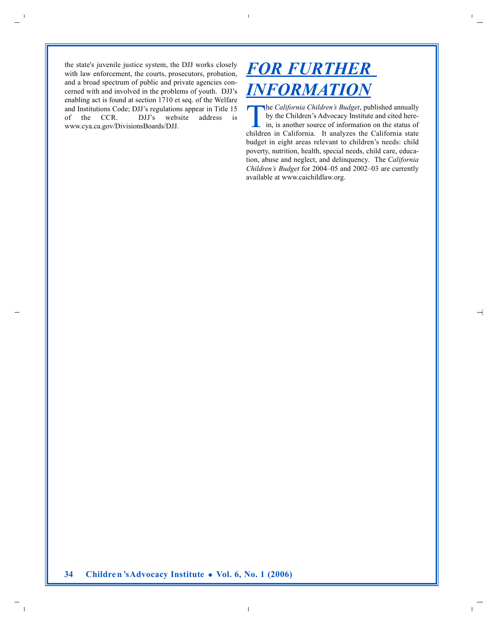the state's juvenile justice system, the DJJ works closely with law enforcement, the courts, prosecutors, probation, and a broad spectrum of public and private agencies concerned with and involved in the problems of youth. DJJ's enabling act is found at section 1710 et seq. of the Welfare and Institutions Code; DJJ's regulations appear in Title 15 of the CCR. DJJ's website address is www.cya.ca.gov/DivisionsBoards/DJJ.

## *FOR FURTHER INFORMATION*

The *California Children's Budget*, published annually by the Children's Advocacy Institute and cited herein, is another source of information on the status of children in California. It analyzes the California state budget in eight areas relevant to children's needs: child poverty, nutrition, health, special needs, child care, education, abuse and neglect, and delinquency. The *California Children's Budget* for 2004–05 and 2002–03 are currently available at www.caichildlaw.org.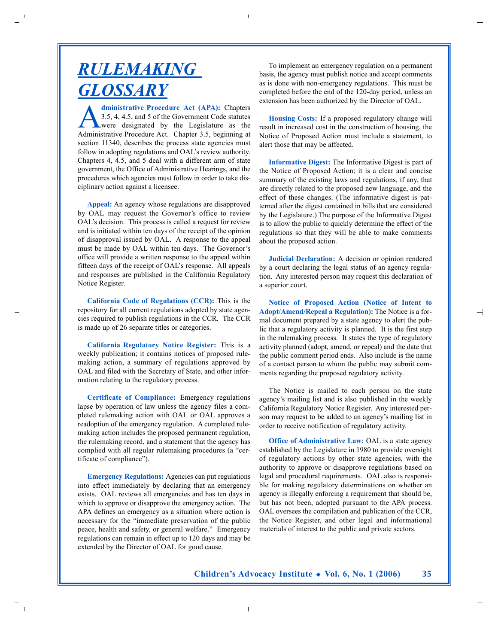# *RULEMAKING GLOSSARY*

**Administrative Procedure Act (APA):** Chapters<br>
3.5, 4, 4.5, and 5 of the Government Code statutes<br>
were designated by the Legislature as the<br>
Administrative Procedure Act, Chapter 3.5 beginning 3.5, 4, 4.5, and 5 of the Government Code statutes Administrative Procedure Act. Chapter 3.5, beginning at section 11340, describes the process state agencies must follow in adopting regulations and OAL's review authority. Chapters 4, 4.5, and 5 deal with a different arm of state government, the Office of Administrative Hearings, and the procedures which agencies must follow in order to take disciplinary action against a licensee.

**Appeal:** An agency whose regulations are disapproved by OAL may request the Governor's office to review OAL's decision. This process is called a request for review and is initiated within ten days of the receipt of the opinion of disapproval issued by OAL. A response to the appeal must be made by OAL within ten days. The Governor's office will provide a written response to the appeal within fifteen days of the receipt of OAL's response. All appeals and responses are published in the California Regulatory Notice Register.

**California Code of Regulations (CCR):** This is the repository for all current regulations adopted by state agencies required to publish regulations in the CCR. The CCR is made up of 26 separate titles or categories.

**California Regulatory Notice Register:** This is a weekly publication; it contains notices of proposed rulemaking action, a summary of regulations approved by OAL and filed with the Secretary of State, and other information relating to the regulatory process.

**Certificate of Compliance:** Emergency regulations lapse by operation of law unless the agency files a completed rulemaking action with OAL or OAL approves a readoption of the emergency regulation. A completed rulemaking action includes the proposed permanent regulation, the rulemaking record, and a statement that the agency has complied with all regular rulemaking procedures (a "certificate of compliance").

**Emergency Regulations:** Agencies can put regulations into effect immediately by declaring that an emergency exists. OAL reviews all emergencies and has ten days in which to approve or disapprove the emergency action. The APA defines an emergency as a situation where action is necessary for the "immediate preservation of the public peace, health and safety, or general welfare." Emergency regulations can remain in effect up to 120 days and may be extended by the Director of OAL for good cause.

To implement an emergency regulation on a permanent basis, the agency must publish notice and accept comments as is done with non-emergency regulations. This must be completed before the end of the 120-day period, unless an extension has been authorized by the Director of OAL.

**Housing Costs:** If a proposed regulatory change will result in increased cost in the construction of housing, the Notice of Proposed Action must include a statement, to alert those that may be affected.

**Informative Digest:** The Informative Digest is part of the Notice of Proposed Action; it is a clear and concise summary of the existing laws and regulations, if any, that are directly related to the proposed new language, and the effect of these changes. (The informative digest is patterned after the digest contained in bills that are considered by the Legislature.) The purpose of the Informative Digest is to allow the public to quickly determine the effect of the regulations so that they will be able to make comments about the proposed action.

**Judicial Declaration:** A decision or opinion rendered by a court declaring the legal status of an agency regulation. Any interested person may request this declaration of a superior court.

Notice of Proposed Action (Notice of Intent to **Adopt/Amend/Repeal a Regulation):** The Notice is a formal document prepared by a state agency to alert the public that a regulatory activity is planned. It is the first step in the rulemaking process. It states the type of regulatory activity planned (adopt, amend, or repeal) and the date that the public comment period ends. Also include is the name of a contact person to whom the public may submit comments regarding the proposed regulatory activity.

The Notice is mailed to each person on the state agency's mailing list and is also published in the weekly California Regulatory Notice Register. Any interested person may request to be added to an agency's mailing list in order to receive notification of regulatory activity.

**Office of Administrative Law: OAL** is a state agency established by the Legislature in 1980 to provide oversight of regulatory actions by other state agencies, with the authority to approve or disapprove regulations based on legal and procedural requirements. OAL also is responsible for making regulatory determinations on whether an agency is illegally enforcing a requirement that should be, but has not been, adopted pursuant to the APA process. OAL oversees the compilation and publication of the CCR, the Notice Register, and other legal and informational materials of interest to the public and private sectors.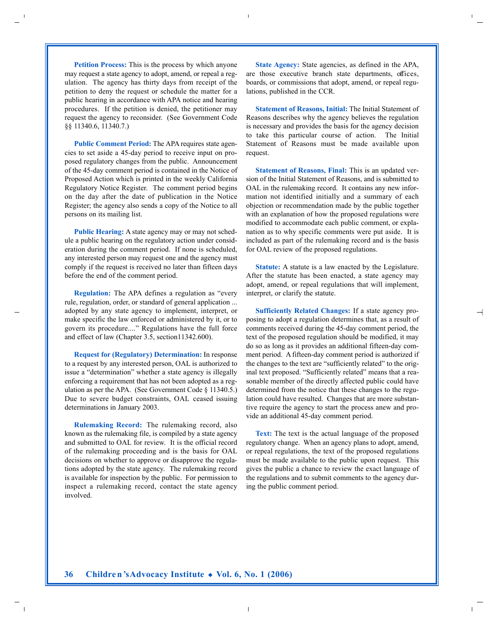**Petition Process:** This is the process by which anyone may request a state agency to adopt, amend, or repeal a regulation. The agency has thirty days from receipt of the petition to deny the request or schedule the matter for a public hearing in accordance with APA notice and hearing procedures. If the petition is denied, the petitioner may request the agency to reconsider. (See Government Code §§ 11340.6, 11340.7.)

**Public Comment Period:** The APA requires state agencies to set aside a 45-day period to receive input on proposed regulatory changes from the public. Announcement of the 45-day comment period is contained in the Notice of Proposed Action which is printed in the weekly California Regulatory Notice Register. The comment period begins on the day after the date of publication in the Notice Register; the agency also sends a copy of the Notice to all persons on its mailing list.

**Public Hearing:** A state agency may or may not schedule a public hearing on the regulatory action under consideration during the comment period. If none is scheduled, any interested person may request one and the agency must comply if the request is received no later than fifteen days before the end of the comment period.

**Regulation:** The APA defines a regulation as "every rule, regulation, order, or standard of general application ... adopted by any state agency to implement, interpret, or make specific the law enforced or administered by it, or to govern its procedure...." Regulations have the full force and effect of law (Chapter 3.5, section11342.600).

**Request for (Regulatory) Determination:** In response to a request by any interested person, OAL is authorized to issue a "determination" whether a state agency is illegally enforcing a requirement that has not been adopted as a regulation as per the APA. (See Government Code § 11340.5.) Due to severe budget constraints, OAL ceased issuing determinations in January 2003.

**Rulemaking Record:** The rulemaking record, also known as the rulemaking file, is compiled by a state agency and submitted to OAL for review. It is the official record of the rulemaking proceeding and is the basis for OAL decisions on whether to approve or disapprove the regulations adopted by the state agency. The rulemaking record is available for inspection by the public. For permission to inspect a rulemaking record, contact the state agency involved.

**State Agency:** State agencies, as defined in the APA, are those executive branch state departments, offices, boards, or commissions that adopt, amend, or repeal regulations, published in the CCR.

**Statement of Reasons, Initial:** The Initial Statement of Reasons describes why the agency believes the regulation is necessary and provides the basis for the agency decision to take this particular course of action. The Initial Statement of Reasons must be made available upon request.

**Statement of Reasons, Final:** This is an updated version of the Initial Statement of Reasons, and is submitted to OAL in the rulemaking record. It contains any new information not identified initially and a summary of each objection or recommendation made by the public together with an explanation of how the proposed regulations were modified to accommodate each public comment, or explanation as to why specific comments were put aside. It is included as part of the rulemaking record and is the basis for OAL review of the proposed regulations.

**Statute:** A statute is a law enacted by the Legislature. After the statute has been enacted, a state agency may adopt, amend, or repeal regulations that will implement, interpret, or clarify the statute.

**Sufficiently Related Changes:** If a state agency proposing to adopt a regulation determines that, as a result of comments received during the 45-day comment period, the text of the proposed regulation should be modified, it may do so as long as it provides an additional fifteen-day comment period. A fifteen-day comment period is authorized if the changes to the text are "sufficiently related" to the original text proposed. "Sufficiently related" means that a reasonable member of the directly affected public could have determined from the notice that these changes to the regulation could have resulted. Changes that are more substantive require the agency to start the process anew and provide an additional 45-day comment period.

**Text:** The text is the actual language of the proposed regulatory change. When an agency plans to adopt, amend, or repeal regulations, the text of the proposed regulations must be made available to the public upon request. This gives the public a chance to review the exact language of the regulations and to submit comments to the agency during the public comment period.